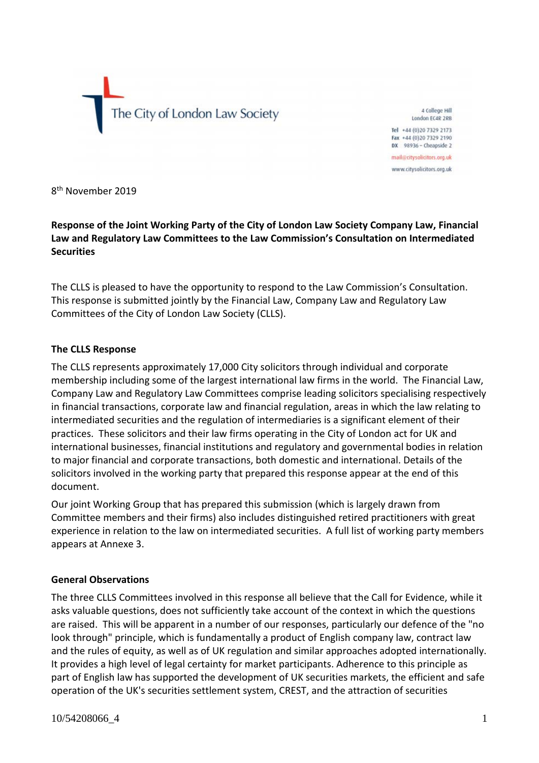The City of London Law Society

4 College Hill London FC4R 2RB

Tel +44 (0) 20 7329 2173 Fax +44 (0)20 7329 2190  $DX$  98936 - Cheapside 2

mail@citysolicitors.org.uk www.citysolicitors.org.uk

8<sup>th</sup> November 2019

**Response of the Joint Working Party of the City of London Law Society Company Law, Financial Law and Regulatory Law Committees to the Law Commission's Consultation on Intermediated Securities**

The CLLS is pleased to have the opportunity to respond to the Law Commission's Consultation. This response is submitted jointly by the Financial Law, Company Law and Regulatory Law Committees of the City of London Law Society (CLLS).

#### **The CLLS Response**

The CLLS represents approximately 17,000 City solicitors through individual and corporate membership including some of the largest international law firms in the world. The Financial Law, Company Law and Regulatory Law Committees comprise leading solicitors specialising respectively in financial transactions, corporate law and financial regulation, areas in which the law relating to intermediated securities and the regulation of intermediaries is a significant element of their practices. These solicitors and their law firms operating in the City of London act for UK and international businesses, financial institutions and regulatory and governmental bodies in relation to major financial and corporate transactions, both domestic and international. Details of the solicitors involved in the working party that prepared this response appear at the end of this document.

Our joint Working Group that has prepared this submission (which is largely drawn from Committee members and their firms) also includes distinguished retired practitioners with great experience in relation to the law on intermediated securities. A full list of working party members appears at Annexe 3.

#### **General Observations**

The three CLLS Committees involved in this response all believe that the Call for Evidence, while it asks valuable questions, does not sufficiently take account of the context in which the questions are raised. This will be apparent in a number of our responses, particularly our defence of the "no look through" principle, which is fundamentally a product of English company law, contract law and the rules of equity, as well as of UK regulation and similar approaches adopted internationally. It provides a high level of legal certainty for market participants. Adherence to this principle as part of English law has supported the development of UK securities markets, the efficient and safe operation of the UK's securities settlement system, CREST, and the attraction of securities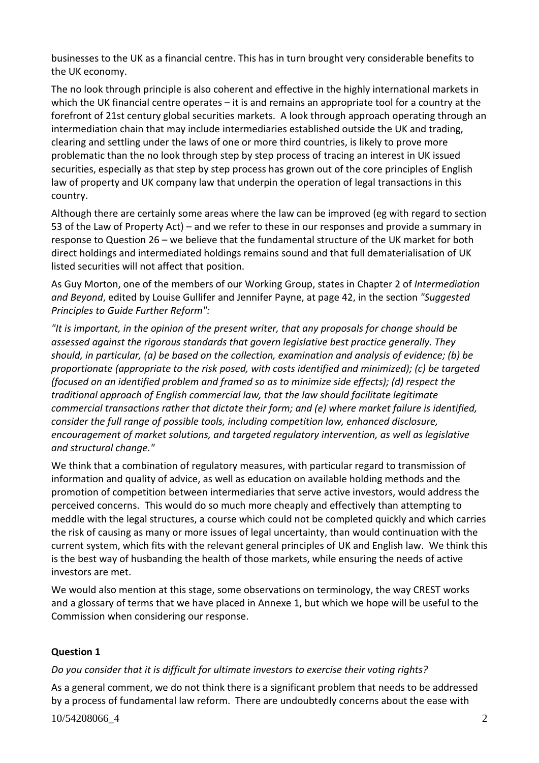businesses to the UK as a financial centre. This has in turn brought very considerable benefits to the UK economy.

The no look through principle is also coherent and effective in the highly international markets in which the UK financial centre operates – it is and remains an appropriate tool for a country at the forefront of 21st century global securities markets. A look through approach operating through an intermediation chain that may include intermediaries established outside the UK and trading, clearing and settling under the laws of one or more third countries, is likely to prove more problematic than the no look through step by step process of tracing an interest in UK issued securities, especially as that step by step process has grown out of the core principles of English law of property and UK company law that underpin the operation of legal transactions in this country.

Although there are certainly some areas where the law can be improved (eg with regard to section 53 of the Law of Property Act) – and we refer to these in our responses and provide a summary in response to Question 26 – we believe that the fundamental structure of the UK market for both direct holdings and intermediated holdings remains sound and that full dematerialisation of UK listed securities will not affect that position.

As Guy Morton, one of the members of our Working Group, states in Chapter 2 of *Intermediation and Beyond*, edited by Louise Gullifer and Jennifer Payne, at page 42, in the section *"Suggested Principles to Guide Further Reform":*

*"It is important, in the opinion of the present writer, that any proposals for change should be assessed against the rigorous standards that govern legislative best practice generally. They should, in particular, (a) be based on the collection, examination and analysis of evidence; (b) be proportionate (appropriate to the risk posed, with costs identified and minimized); (c) be targeted (focused on an identified problem and framed so as to minimize side effects); (d) respect the traditional approach of English commercial law, that the law should facilitate legitimate commercial transactions rather that dictate their form; and (e) where market failure is identified, consider the full range of possible tools, including competition law, enhanced disclosure, encouragement of market solutions, and targeted regulatory intervention, as well as legislative and structural change."*

We think that a combination of regulatory measures, with particular regard to transmission of information and quality of advice, as well as education on available holding methods and the promotion of competition between intermediaries that serve active investors, would address the perceived concerns. This would do so much more cheaply and effectively than attempting to meddle with the legal structures, a course which could not be completed quickly and which carries the risk of causing as many or more issues of legal uncertainty, than would continuation with the current system, which fits with the relevant general principles of UK and English law. We think this is the best way of husbanding the health of those markets, while ensuring the needs of active investors are met.

We would also mention at this stage, some observations on terminology, the way CREST works and a glossary of terms that we have placed in Annexe 1, but which we hope will be useful to the Commission when considering our response.

## **Question 1**

## *Do you consider that it is difficult for ultimate investors to exercise their voting rights?*

10/54208066\_4 2 As a general comment, we do not think there is a significant problem that needs to be addressed by a process of fundamental law reform. There are undoubtedly concerns about the ease with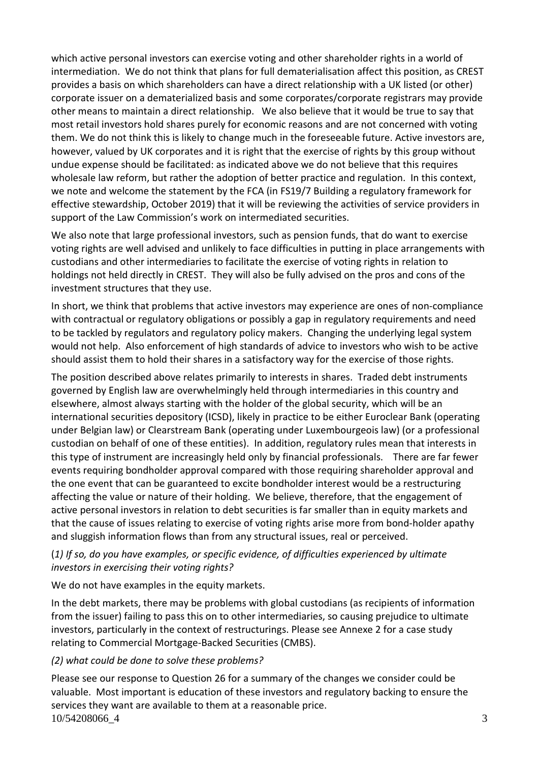which active personal investors can exercise voting and other shareholder rights in a world of intermediation. We do not think that plans for full dematerialisation affect this position, as CREST provides a basis on which shareholders can have a direct relationship with a UK listed (or other) corporate issuer on a dematerialized basis and some corporates/corporate registrars may provide other means to maintain a direct relationship. We also believe that it would be true to say that most retail investors hold shares purely for economic reasons and are not concerned with voting them. We do not think this is likely to change much in the foreseeable future. Active investors are, however, valued by UK corporates and it is right that the exercise of rights by this group without undue expense should be facilitated: as indicated above we do not believe that this requires wholesale law reform, but rather the adoption of better practice and regulation. In this context, we note and welcome the statement by the FCA (in FS19/7 Building a regulatory framework for effective stewardship, October 2019) that it will be reviewing the activities of service providers in support of the Law Commission's work on intermediated securities.

We also note that large professional investors, such as pension funds, that do want to exercise voting rights are well advised and unlikely to face difficulties in putting in place arrangements with custodians and other intermediaries to facilitate the exercise of voting rights in relation to holdings not held directly in CREST. They will also be fully advised on the pros and cons of the investment structures that they use.

In short, we think that problems that active investors may experience are ones of non-compliance with contractual or regulatory obligations or possibly a gap in regulatory requirements and need to be tackled by regulators and regulatory policy makers. Changing the underlying legal system would not help. Also enforcement of high standards of advice to investors who wish to be active should assist them to hold their shares in a satisfactory way for the exercise of those rights.

The position described above relates primarily to interests in shares. Traded debt instruments governed by English law are overwhelmingly held through intermediaries in this country and elsewhere, almost always starting with the holder of the global security, which will be an international securities depository (ICSD), likely in practice to be either Euroclear Bank (operating under Belgian law) or Clearstream Bank (operating under Luxembourgeois law) (or a professional custodian on behalf of one of these entities). In addition, regulatory rules mean that interests in this type of instrument are increasingly held only by financial professionals. There are far fewer events requiring bondholder approval compared with those requiring shareholder approval and the one event that can be guaranteed to excite bondholder interest would be a restructuring affecting the value or nature of their holding. We believe, therefore, that the engagement of active personal investors in relation to debt securities is far smaller than in equity markets and that the cause of issues relating to exercise of voting rights arise more from bond-holder apathy and sluggish information flows than from any structural issues, real or perceived.

## (*1) If so, do you have examples, or specific evidence, of difficulties experienced by ultimate investors in exercising their voting rights?*

## We do not have examples in the equity markets.

In the debt markets, there may be problems with global custodians (as recipients of information from the issuer) failing to pass this on to other intermediaries, so causing prejudice to ultimate investors, particularly in the context of restructurings. Please see Annexe 2 for a case study relating to Commercial Mortgage-Backed Securities (CMBS).

## *(2) what could be done to solve these problems?*

10/54208066\_4 3 Please see our response to Question 26 for a summary of the changes we consider could be valuable. Most important is education of these investors and regulatory backing to ensure the services they want are available to them at a reasonable price.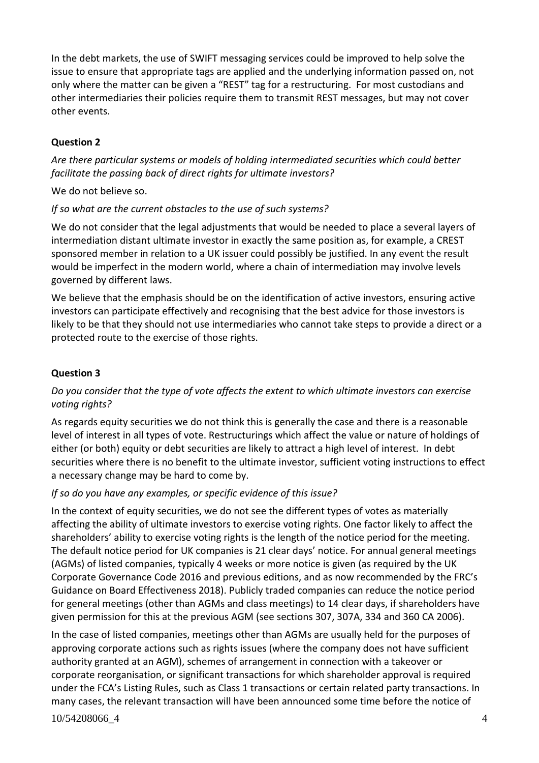In the debt markets, the use of SWIFT messaging services could be improved to help solve the issue to ensure that appropriate tags are applied and the underlying information passed on, not only where the matter can be given a "REST" tag for a restructuring. For most custodians and other intermediaries their policies require them to transmit REST messages, but may not cover other events.

## **Question 2**

*Are there particular systems or models of holding intermediated securities which could better facilitate the passing back of direct rights for ultimate investors?*

We do not believe so.

## *If so what are the current obstacles to the use of such systems?*

We do not consider that the legal adjustments that would be needed to place a several layers of intermediation distant ultimate investor in exactly the same position as, for example, a CREST sponsored member in relation to a UK issuer could possibly be justified. In any event the result would be imperfect in the modern world, where a chain of intermediation may involve levels governed by different laws.

We believe that the emphasis should be on the identification of active investors, ensuring active investors can participate effectively and recognising that the best advice for those investors is likely to be that they should not use intermediaries who cannot take steps to provide a direct or a protected route to the exercise of those rights.

## **Question 3**

## *Do you consider that the type of vote affects the extent to which ultimate investors can exercise voting rights?*

As regards equity securities we do not think this is generally the case and there is a reasonable level of interest in all types of vote. Restructurings which affect the value or nature of holdings of either (or both) equity or debt securities are likely to attract a high level of interest. In debt securities where there is no benefit to the ultimate investor, sufficient voting instructions to effect a necessary change may be hard to come by.

## *If so do you have any examples, or specific evidence of this issue?*

In the context of equity securities, we do not see the different types of votes as materially affecting the ability of ultimate investors to exercise voting rights. One factor likely to affect the shareholders' ability to exercise voting rights is the length of the notice period for the meeting. The default notice period for UK companies is 21 clear days' notice. For annual general meetings (AGMs) of listed companies, typically 4 weeks or more notice is given (as required by the UK Corporate Governance Code 2016 and previous editions, and as now recommended by the FRC's Guidance on Board Effectiveness 2018). Publicly traded companies can reduce the notice period for general meetings (other than AGMs and class meetings) to 14 clear days, if shareholders have given permission for this at the previous AGM (see sections 307, 307A, 334 and 360 CA 2006).

In the case of listed companies, meetings other than AGMs are usually held for the purposes of approving corporate actions such as rights issues (where the company does not have sufficient authority granted at an AGM), schemes of arrangement in connection with a takeover or corporate reorganisation, or significant transactions for which shareholder approval is required under the FCA's Listing Rules, such as Class 1 transactions or certain related party transactions. In many cases, the relevant transaction will have been announced some time before the notice of

10/54208066\_4 4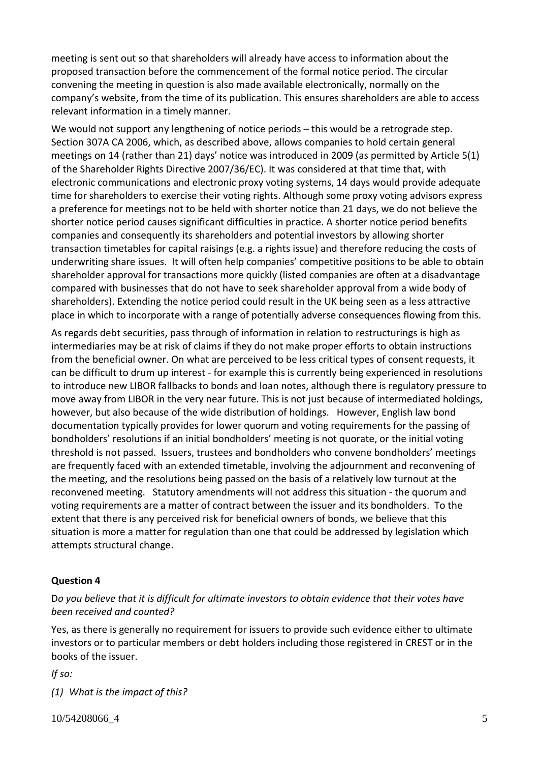meeting is sent out so that shareholders will already have access to information about the proposed transaction before the commencement of the formal notice period. The circular convening the meeting in question is also made available electronically, normally on the company's website, from the time of its publication. This ensures shareholders are able to access relevant information in a timely manner.

We would not support any lengthening of notice periods – this would be a retrograde step. Section 307A CA 2006, which, as described above, allows companies to hold certain general meetings on 14 (rather than 21) days' notice was introduced in 2009 (as permitted by Article 5(1) of the Shareholder Rights Directive 2007/36/EC). It was considered at that time that, with electronic communications and electronic proxy voting systems, 14 days would provide adequate time for shareholders to exercise their voting rights. Although some proxy voting advisors express a preference for meetings not to be held with shorter notice than 21 days, we do not believe the shorter notice period causes significant difficulties in practice. A shorter notice period benefits companies and consequently its shareholders and potential investors by allowing shorter transaction timetables for capital raisings (e.g. a rights issue) and therefore reducing the costs of underwriting share issues. It will often help companies' competitive positions to be able to obtain shareholder approval for transactions more quickly (listed companies are often at a disadvantage compared with businesses that do not have to seek shareholder approval from a wide body of shareholders). Extending the notice period could result in the UK being seen as a less attractive place in which to incorporate with a range of potentially adverse consequences flowing from this.

As regards debt securities, pass through of information in relation to restructurings is high as intermediaries may be at risk of claims if they do not make proper efforts to obtain instructions from the beneficial owner. On what are perceived to be less critical types of consent requests, it can be difficult to drum up interest - for example this is currently being experienced in resolutions to introduce new LIBOR fallbacks to bonds and loan notes, although there is regulatory pressure to move away from LIBOR in the very near future. This is not just because of intermediated holdings, however, but also because of the wide distribution of holdings. However, English law bond documentation typically provides for lower quorum and voting requirements for the passing of bondholders' resolutions if an initial bondholders' meeting is not quorate, or the initial voting threshold is not passed. Issuers, trustees and bondholders who convene bondholders' meetings are frequently faced with an extended timetable, involving the adjournment and reconvening of the meeting, and the resolutions being passed on the basis of a relatively low turnout at the reconvened meeting. Statutory amendments will not address this situation - the quorum and voting requirements are a matter of contract between the issuer and its bondholders. To the extent that there is any perceived risk for beneficial owners of bonds, we believe that this situation is more a matter for regulation than one that could be addressed by legislation which attempts structural change.

## **Question 4**

## D*o you believe that it is difficult for ultimate investors to obtain evidence that their votes have been received and counted?*

Yes, as there is generally no requirement for issuers to provide such evidence either to ultimate investors or to particular members or debt holders including those registered in CREST or in the books of the issuer.

*If so:*

*(1) What is the impact of this?* 

10/54208066\_4 5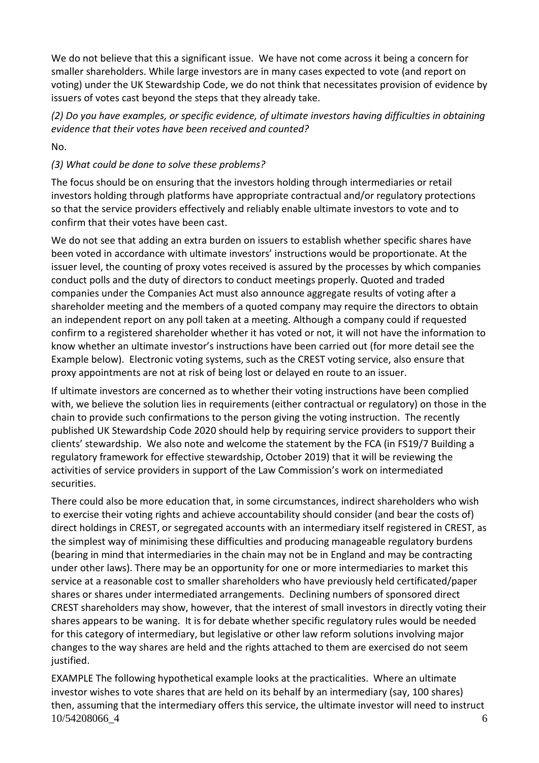We do not believe that this a significant issue. We have not come across it being a concern for smaller shareholders. While large investors are in many cases expected to vote (and report on voting) under the UK Stewardship Code, we do not think that necessitates provision of evidence by issuers of votes cast beyond the steps that they already take.

*(2) Do you have examples, or specific evidence, of ultimate investors having difficulties in obtaining evidence that their votes have been received and counted?*

No.

# *(3) What could be done to solve these problems?*

The focus should be on ensuring that the investors holding through intermediaries or retail investors holding through platforms have appropriate contractual and/or regulatory protections so that the service providers effectively and reliably enable ultimate investors to vote and to confirm that their votes have been cast.

We do not see that adding an extra burden on issuers to establish whether specific shares have been voted in accordance with ultimate investors' instructions would be proportionate. At the issuer level, the counting of proxy votes received is assured by the processes by which companies conduct polls and the duty of directors to conduct meetings properly. Quoted and traded companies under the Companies Act must also announce aggregate results of voting after a shareholder meeting and the members of a quoted company may require the directors to obtain an independent report on any poll taken at a meeting. Although a company could if requested confirm to a registered shareholder whether it has voted or not, it will not have the information to know whether an ultimate investor's instructions have been carried out (for more detail see the Example below). Electronic voting systems, such as the CREST voting service, also ensure that proxy appointments are not at risk of being lost or delayed en route to an issuer.

If ultimate investors are concerned as to whether their voting instructions have been complied with, we believe the solution lies in requirements (either contractual or regulatory) on those in the chain to provide such confirmations to the person giving the voting instruction. The recently published UK Stewardship Code 2020 should help by requiring service providers to support their clients' stewardship. We also note and welcome the statement by the FCA (in FS19/7 [Building](https://www.fca.org.uk/publication/feedback/fs19-7.pdf) a regulatory framework for effective [stewardship,](https://www.fca.org.uk/publication/feedback/fs19-7.pdf) October 2019) that it will be reviewing the activities of service providers in support of the Law Commission's work on intermediated securities.

There could also be more education that, in some circumstances, indirect shareholders who wish to exercise their voting rights and achieve accountability should consider (and bear the costs of) direct holdings in CREST, or segregated accounts with an intermediary itself registered in CREST, as the simplest way of minimising these difficulties and producing manageable regulatory burdens (bearing in mind that intermediaries in the chain may not be in England and may be contracting under other laws). There may be an opportunity for one or more intermediaries to market this service at a reasonable cost to smaller shareholders who have previously held certificated/paper shares or shares under intermediated arrangements. Declining numbers of sponsored direct CREST shareholders may show, however, that the interest of small investors in directly voting their shares appears to be waning. It is for debate whether specific regulatory rules would be needed for this category of intermediary, but legislative or other law reform solutions involving major changes to the way shares are held and the rights attached to them are exercised do not seem justified.

10/54208066\_4 6 EXAMPLE The following hypothetical example looks at the practicalities. Where an ultimate investor wishes to vote shares that are held on its behalf by an intermediary (say, 100 shares) then, assuming that the intermediary offers this service, the ultimate investor will need to instruct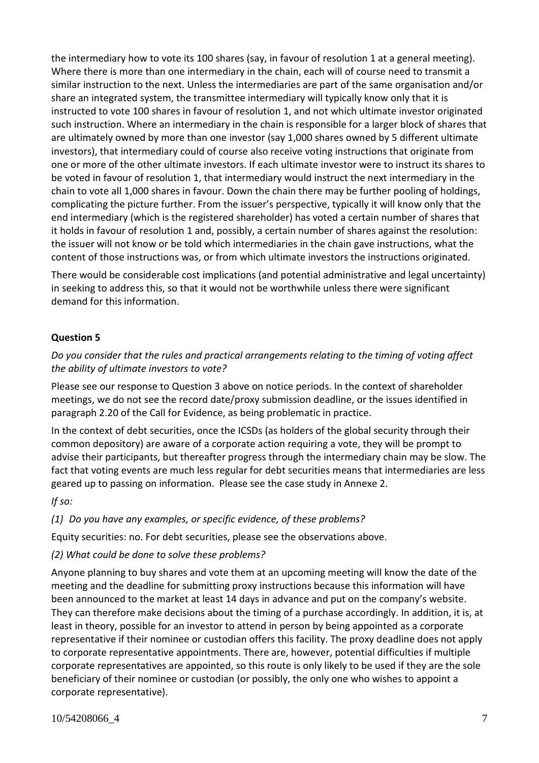the intermediary how to vote its 100 shares (say, in favour of resolution 1 at a general meeting). Where there is more than one intermediary in the chain, each will of course need to transmit a similar instruction to the next. Unless the intermediaries are part of the same organisation and/or share an integrated system, the transmittee intermediary will typically know only that it is instructed to vote 100 shares in favour of resolution 1, and not which ultimate investor originated such instruction. Where an intermediary in the chain is responsible for a larger block of shares that are ultimately owned by more than one investor (say 1,000 shares owned by 5 different ultimate investors), that intermediary could of course also receive voting instructions that originate from one or more of the other ultimate investors. If each ultimate investor were to instruct its shares to be voted in favour of resolution 1, that intermediary would instruct the next intermediary in the chain to vote all 1,000 shares in favour. Down the chain there may be further pooling of holdings, complicating the picture further. From the issuer's perspective, typically it will know only that the end intermediary (which is the registered shareholder) has voted a certain number of shares that it holds in favour of resolution 1 and, possibly, a certain number of shares against the resolution: the issuer will not know or be told which intermediaries in the chain gave instructions, what the content of those instructions was, or from which ultimate investors the instructions originated.

There would be considerable cost implications (and potential administrative and legal uncertainty) in seeking to address this, so that it would not be worthwhile unless there were significant demand for this information.

## **Question 5**

## *Do you consider that the rules and practical arrangements relating to the timing of voting affect the ability of ultimate investors to vote?*

Please see our response to Question 3 above on notice periods. In the context of shareholder meetings, we do not see the record date/proxy submission deadline, or the issues identified in paragraph 2.20 of the Call for Evidence, as being problematic in practice.

In the context of debt securities, once the ICSDs (as holders of the global security through their common depository) are aware of a corporate action requiring a vote, they will be prompt to advise their participants, but thereafter progress through the intermediary chain may be slow. The fact that voting events are much less regular for debt securities means that intermediaries are less geared up to passing on information. Please see the case study in Annexe 2.

*If so:*

*(1) Do you have any examples, or specific evidence, of these problems?*

Equity securities: no. For debt securities, please see the observations above.

*(2) What could be done to solve these problems?*

Anyone planning to buy shares and vote them at an upcoming meeting will know the date of the meeting and the deadline for submitting proxy instructions because this information will have been announced to the market at least 14 days in advance and put on the company's website. They can therefore make decisions about the timing of a purchase accordingly. In addition, it is, at least in theory, possible for an investor to attend in person by being appointed as a corporate representative if their nominee or custodian offers this facility. The proxy deadline does not apply to corporate representative appointments. There are, however, potential difficulties if multiple corporate representatives are appointed, so this route is only likely to be used if they are the sole beneficiary of their nominee or custodian (or possibly, the only one who wishes to appoint a corporate representative).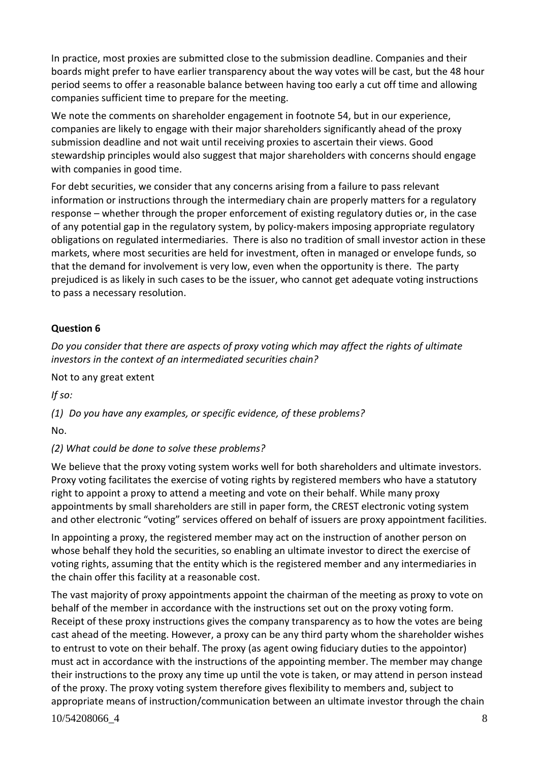In practice, most proxies are submitted close to the submission deadline. Companies and their boards might prefer to have earlier transparency about the way votes will be cast, but the 48 hour period seems to offer a reasonable balance between having too early a cut off time and allowing companies sufficient time to prepare for the meeting.

We note the comments on shareholder engagement in footnote 54, but in our experience, companies are likely to engage with their major shareholders significantly ahead of the proxy submission deadline and not wait until receiving proxies to ascertain their views. Good stewardship principles would also suggest that major shareholders with concerns should engage with companies in good time.

For debt securities, we consider that any concerns arising from a failure to pass relevant information or instructions through the intermediary chain are properly matters for a regulatory response – whether through the proper enforcement of existing regulatory duties or, in the case of any potential gap in the regulatory system, by policy-makers imposing appropriate regulatory obligations on regulated intermediaries. There is also no tradition of small investor action in these markets, where most securities are held for investment, often in managed or envelope funds, so that the demand for involvement is very low, even when the opportunity is there. The party prejudiced is as likely in such cases to be the issuer, who cannot get adequate voting instructions to pass a necessary resolution.

#### **Question 6**

*Do you consider that there are aspects of proxy voting which may affect the rights of ultimate investors in the context of an intermediated securities chain?*

Not to any great extent

*If so:*

*(1) Do you have any examples, or specific evidence, of these problems?*

No.

#### *(2) What could be done to solve these problems?*

We believe that the proxy voting system works well for both shareholders and ultimate investors. Proxy voting facilitates the exercise of voting rights by registered members who have a statutory right to appoint a proxy to attend a meeting and vote on their behalf. While many proxy appointments by small shareholders are still in paper form, the CREST electronic voting system and other electronic "voting" services offered on behalf of issuers are proxy appointment facilities.

In appointing a proxy, the registered member may act on the instruction of another person on whose behalf they hold the securities, so enabling an ultimate investor to direct the exercise of voting rights, assuming that the entity which is the registered member and any intermediaries in the chain offer this facility at a reasonable cost.

10/54208066 4 8 8 The vast majority of proxy appointments appoint the chairman of the meeting as proxy to vote on behalf of the member in accordance with the instructions set out on the proxy voting form. Receipt of these proxy instructions gives the company transparency as to how the votes are being cast ahead of the meeting. However, a proxy can be any third party whom the shareholder wishes to entrust to vote on their behalf. The proxy (as agent owing fiduciary duties to the appointor) must act in accordance with the instructions of the appointing member. The member may change their instructions to the proxy any time up until the vote is taken, or may attend in person instead of the proxy. The proxy voting system therefore gives flexibility to members and, subject to appropriate means of instruction/communication between an ultimate investor through the chain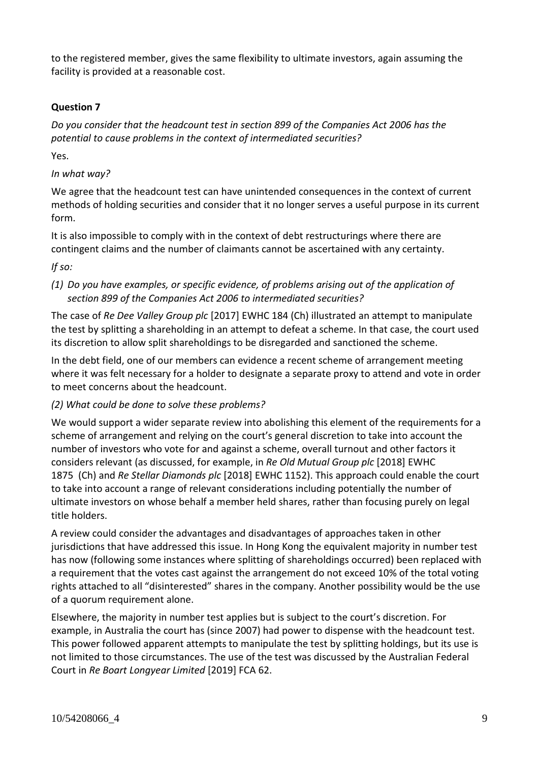to the registered member, gives the same flexibility to ultimate investors, again assuming the facility is provided at a reasonable cost.

## **Question 7**

*Do you consider that the headcount test in section 899 of the Companies Act 2006 has the potential to cause problems in the context of intermediated securities?*

Yes.

## *In what way?*

We agree that the headcount test can have unintended consequences in the context of current methods of holding securities and consider that it no longer serves a useful purpose in its current form.

It is also impossible to comply with in the context of debt restructurings where there are contingent claims and the number of claimants cannot be ascertained with any certainty.

*If so:*

## *(1) Do you have examples, or specific evidence, of problems arising out of the application of section 899 of the Companies Act 2006 to intermediated securities?*

The case of *Re Dee Valley Group plc* [2017] EWHC 184 (Ch) illustrated an attempt to manipulate the test by splitting a shareholding in an attempt to defeat a scheme. In that case, the court used its discretion to allow split shareholdings to be disregarded and sanctioned the scheme.

In the debt field, one of our members can evidence a recent scheme of arrangement meeting where it was felt necessary for a holder to designate a separate proxy to attend and vote in order to meet concerns about the headcount.

## *(2) What could be done to solve these problems?*

We would support a wider separate review into abolishing this element of the requirements for a scheme of arrangement and relying on the court's general discretion to take into account the number of investors who vote for and against a scheme, overall turnout and other factors it considers relevant (as discussed, for example, in *Re Old Mutual Group plc* [2018] EWHC 1875 (Ch) and *Re Stellar Diamonds plc* [2018] EWHC 1152). This approach could enable the court to take into account a range of relevant considerations including potentially the number of ultimate investors on whose behalf a member held shares, rather than focusing purely on legal title holders.

A review could consider the advantages and disadvantages of approaches taken in other jurisdictions that have addressed this issue. In Hong Kong the equivalent majority in number test has now (following some instances where splitting of shareholdings occurred) been replaced with a requirement that the votes cast against the arrangement do not exceed 10% of the total voting rights attached to all "disinterested" shares in the company. Another possibility would be the use of a quorum requirement alone.

Elsewhere, the majority in number test applies but is subject to the court's discretion. For example, in Australia the court has (since 2007) had power to dispense with the headcount test. This power followed apparent attempts to manipulate the test by splitting holdings, but its use is not limited to those circumstances. The use of the test was discussed by the Australian Federal Court in *Re Boart Longyear Limited* [2019] FCA 62.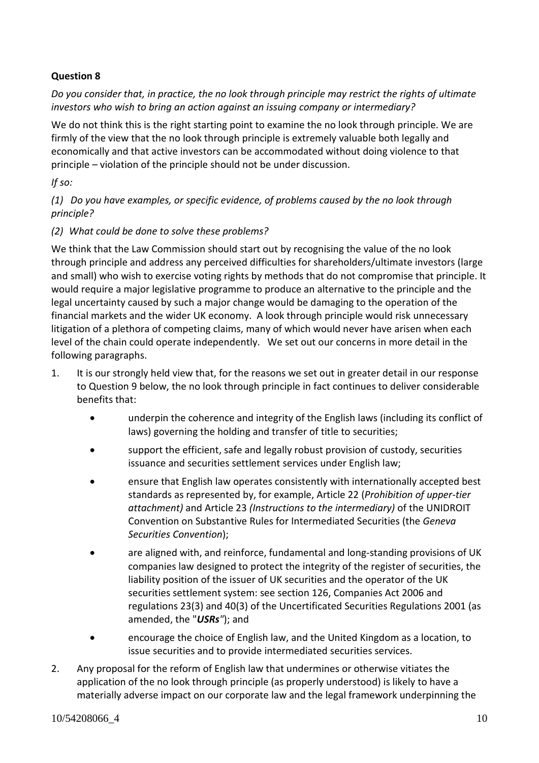## **Question 8**

*Do you consider that, in practice, the no look through principle may restrict the rights of ultimate investors who wish to bring an action against an issuing company or intermediary?*

We do not think this is the right starting point to examine the no look through principle. We are firmly of the view that the no look through principle is extremely valuable both legally and economically and that active investors can be accommodated without doing violence to that principle – violation of the principle should not be under discussion.

*If so:*

*(1) Do you have examples, or specific evidence, of problems caused by the no look through principle?*

## *(2) What could be done to solve these problems?*

We think that the Law Commission should start out by recognising the value of the no look through principle and address any perceived difficulties for shareholders/ultimate investors (large and small) who wish to exercise voting rights by methods that do not compromise that principle. It would require a major legislative programme to produce an alternative to the principle and the legal uncertainty caused by such a major change would be damaging to the operation of the financial markets and the wider UK economy. A look through principle would risk unnecessary litigation of a plethora of competing claims, many of which would never have arisen when each level of the chain could operate independently. We set out our concerns in more detail in the following paragraphs.

- 1. It is our strongly held view that, for the reasons we set out in greater detail in our response to Question 9 below, the no look through principle in fact continues to deliver considerable benefits that:
	- underpin the coherence and integrity of the English laws (including its conflict of laws) governing the holding and transfer of title to securities;
	- support the efficient, safe and legally robust provision of custody, securities issuance and securities settlement services under English law;
	- ensure that English law operates consistently with internationally accepted best standards as represented by, for example, Article 22 (*Prohibition of upper-tier attachment)* and Article 23 *(Instructions to the intermediary)* of the UNIDROIT Convention on Substantive Rules for Intermediated Securities (the *Geneva Securities Convention*);
	- are aligned with, and reinforce, fundamental and long-standing provisions of UK companies law designed to protect the integrity of the register of securities, the liability position of the issuer of UK securities and the operator of the UK securities settlement system: see section 126, Companies Act 2006 and regulations 23(3) and 40(3) of the Uncertificated Securities Regulations 2001 (as amended, the "*USRs"*); and
	- encourage the choice of English law, and the United Kingdom as a location, to issue securities and to provide intermediated securities services.
- 2. Any proposal for the reform of English law that undermines or otherwise vitiates the application of the no look through principle (as properly understood) is likely to have a materially adverse impact on our corporate law and the legal framework underpinning the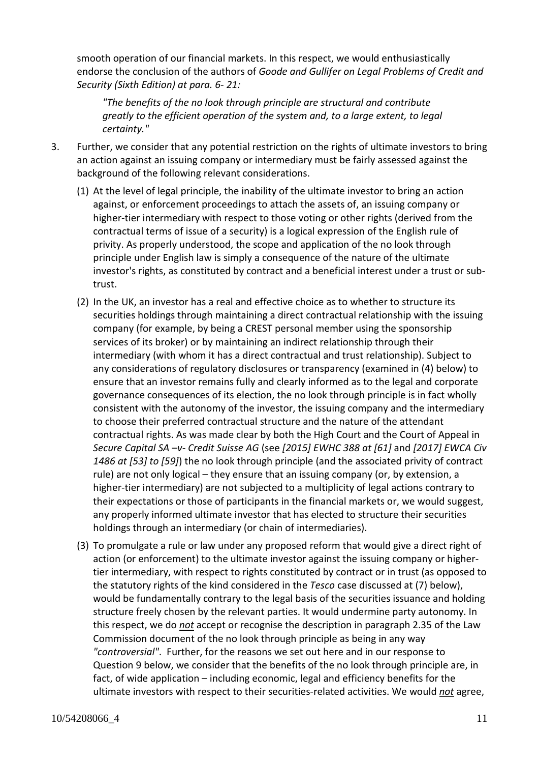smooth operation of our financial markets. In this respect, we would enthusiastically endorse the conclusion of the authors of *Goode and Gullifer on Legal Problems of Credit and Security (Sixth Edition) at para. 6- 21:*

*"The benefits of the no look through principle are structural and contribute greatly to the efficient operation of the system and, to a large extent, to legal certainty."*

- 3. Further, we consider that any potential restriction on the rights of ultimate investors to bring an action against an issuing company or intermediary must be fairly assessed against the background of the following relevant considerations.
	- (1) At the level of legal principle, the inability of the ultimate investor to bring an action against, or enforcement proceedings to attach the assets of, an issuing company or higher-tier intermediary with respect to those voting or other rights (derived from the contractual terms of issue of a security) is a logical expression of the English rule of privity. As properly understood, the scope and application of the no look through principle under English law is simply a consequence of the nature of the ultimate investor's rights, as constituted by contract and a beneficial interest under a trust or subtrust.
	- (2) In the UK, an investor has a real and effective choice as to whether to structure its securities holdings through maintaining a direct contractual relationship with the issuing company (for example, by being a CREST personal member using the sponsorship services of its broker) or by maintaining an indirect relationship through their intermediary (with whom it has a direct contractual and trust relationship). Subject to any considerations of regulatory disclosures or transparency (examined in (4) below) to ensure that an investor remains fully and clearly informed as to the legal and corporate governance consequences of its election, the no look through principle is in fact wholly consistent with the autonomy of the investor, the issuing company and the intermediary to choose their preferred contractual structure and the nature of the attendant contractual rights. As was made clear by both the High Court and the Court of Appeal in *Secure Capital SA –v- Credit Suisse AG* (see *[2015] EWHC 388 at [61]* and *[2017] EWCA Civ 1486 at [53] to [59]*) the no look through principle (and the associated privity of contract rule) are not only logical – they ensure that an issuing company (or, by extension, a higher-tier intermediary) are not subjected to a multiplicity of legal actions contrary to their expectations or those of participants in the financial markets or, we would suggest, any properly informed ultimate investor that has elected to structure their securities holdings through an intermediary (or chain of intermediaries).
	- (3) To promulgate a rule or law under any proposed reform that would give a direct right of action (or enforcement) to the ultimate investor against the issuing company or highertier intermediary, with respect to rights constituted by contract or in trust (as opposed to the statutory rights of the kind considered in the *Tesco* case discussed at (7) below), would be fundamentally contrary to the legal basis of the securities issuance and holding structure freely chosen by the relevant parties. It would undermine party autonomy. In this respect, we do *not* accept or recognise the description in paragraph 2.35 of the Law Commission document of the no look through principle as being in any way *"controversial"*. Further, for the reasons we set out here and in our response to Question 9 below, we consider that the benefits of the no look through principle are, in fact, of wide application – including economic, legal and efficiency benefits for the ultimate investors with respect to their securities-related activities. We would *not* agree,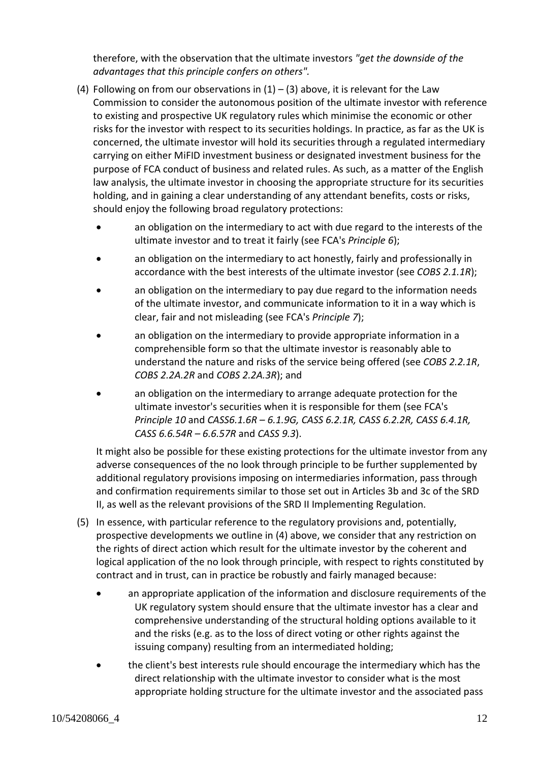therefore, with the observation that the ultimate investors *"get the downside of the advantages that this principle confers on others".*

- (4) Following on from our observations in  $(1) (3)$  above, it is relevant for the Law Commission to consider the autonomous position of the ultimate investor with reference to existing and prospective UK regulatory rules which minimise the economic or other risks for the investor with respect to its securities holdings. In practice, as far as the UK is concerned, the ultimate investor will hold its securities through a regulated intermediary carrying on either MiFID investment business or designated investment business for the purpose of FCA conduct of business and related rules. As such, as a matter of the English law analysis, the ultimate investor in choosing the appropriate structure for its securities holding, and in gaining a clear understanding of any attendant benefits, costs or risks, should enjoy the following broad regulatory protections:
	- an obligation on the intermediary to act with due regard to the interests of the ultimate investor and to treat it fairly (see FCA's *Principle 6*);
	- an obligation on the intermediary to act honestly, fairly and professionally in accordance with the best interests of the ultimate investor (see *COBS 2.1.1R*);
	- an obligation on the intermediary to pay due regard to the information needs of the ultimate investor, and communicate information to it in a way which is clear, fair and not misleading (see FCA's *Principle 7*);
	- an obligation on the intermediary to provide appropriate information in a comprehensible form so that the ultimate investor is reasonably able to understand the nature and risks of the service being offered (see *COBS 2.2.1R*, *COBS 2.2A.2R* and *COBS 2.2A.3R*); and
	- an obligation on the intermediary to arrange adequate protection for the ultimate investor's securities when it is responsible for them (see FCA's *Principle 10* and *CASS6.1.6R – 6.1.9G, CASS 6.2.1R, CASS 6.2.2R, CASS 6.4.1R, CASS 6.6.54R – 6.6.57R* and *CASS 9.3*).

It might also be possible for these existing protections for the ultimate investor from any adverse consequences of the no look through principle to be further supplemented by additional regulatory provisions imposing on intermediaries information, pass through and confirmation requirements similar to those set out in Articles 3b and 3c of the SRD II, as well as the relevant provisions of the SRD II Implementing Regulation.

- (5) In essence, with particular reference to the regulatory provisions and, potentially, prospective developments we outline in (4) above, we consider that any restriction on the rights of direct action which result for the ultimate investor by the coherent and logical application of the no look through principle, with respect to rights constituted by contract and in trust, can in practice be robustly and fairly managed because:
	- an appropriate application of the information and disclosure requirements of the UK regulatory system should ensure that the ultimate investor has a clear and comprehensive understanding of the structural holding options available to it and the risks (e.g. as to the loss of direct voting or other rights against the issuing company) resulting from an intermediated holding;
	- the client's best interests rule should encourage the intermediary which has the direct relationship with the ultimate investor to consider what is the most appropriate holding structure for the ultimate investor and the associated pass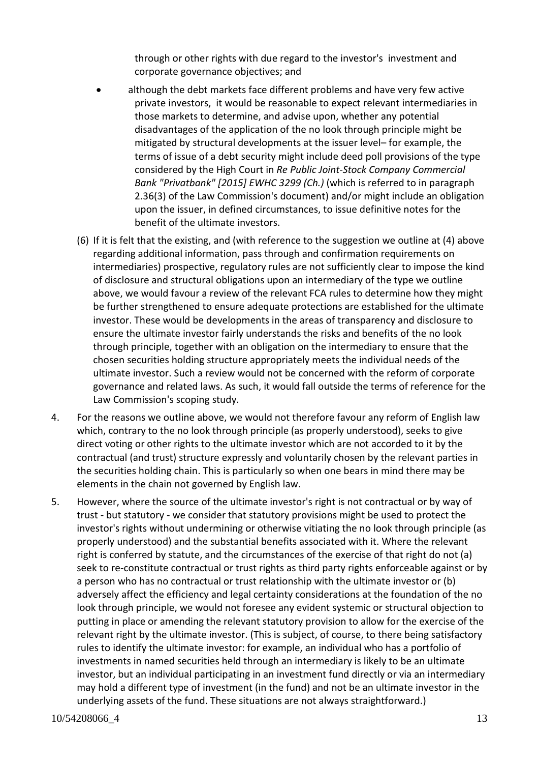through or other rights with due regard to the investor's investment and corporate governance objectives; and

- although the debt markets face different problems and have very few active private investors, it would be reasonable to expect relevant intermediaries in those markets to determine, and advise upon, whether any potential disadvantages of the application of the no look through principle might be mitigated by structural developments at the issuer level– for example, the terms of issue of a debt security might include deed poll provisions of the type considered by the High Court in *Re Public Joint-Stock Company Commercial Bank "Privatbank" [2015] EWHC 3299 (Ch.)* (which is referred to in paragraph 2.36(3) of the Law Commission's document) and/or might include an obligation upon the issuer, in defined circumstances, to issue definitive notes for the benefit of the ultimate investors.
- (6) If it is felt that the existing, and (with reference to the suggestion we outline at (4) above regarding additional information, pass through and confirmation requirements on intermediaries) prospective, regulatory rules are not sufficiently clear to impose the kind of disclosure and structural obligations upon an intermediary of the type we outline above, we would favour a review of the relevant FCA rules to determine how they might be further strengthened to ensure adequate protections are established for the ultimate investor. These would be developments in the areas of transparency and disclosure to ensure the ultimate investor fairly understands the risks and benefits of the no look through principle, together with an obligation on the intermediary to ensure that the chosen securities holding structure appropriately meets the individual needs of the ultimate investor. Such a review would not be concerned with the reform of corporate governance and related laws. As such, it would fall outside the terms of reference for the Law Commission's scoping study.
- 4. For the reasons we outline above, we would not therefore favour any reform of English law which, contrary to the no look through principle (as properly understood), seeks to give direct voting or other rights to the ultimate investor which are not accorded to it by the contractual (and trust) structure expressly and voluntarily chosen by the relevant parties in the securities holding chain. This is particularly so when one bears in mind there may be elements in the chain not governed by English law.
- 5. However, where the source of the ultimate investor's right is not contractual or by way of trust - but statutory - we consider that statutory provisions might be used to protect the investor's rights without undermining or otherwise vitiating the no look through principle (as properly understood) and the substantial benefits associated with it. Where the relevant right is conferred by statute, and the circumstances of the exercise of that right do not (a) seek to re-constitute contractual or trust rights as third party rights enforceable against or by a person who has no contractual or trust relationship with the ultimate investor or (b) adversely affect the efficiency and legal certainty considerations at the foundation of the no look through principle, we would not foresee any evident systemic or structural objection to putting in place or amending the relevant statutory provision to allow for the exercise of the relevant right by the ultimate investor. (This is subject, of course, to there being satisfactory rules to identify the ultimate investor: for example, an individual who has a portfolio of investments in named securities held through an intermediary is likely to be an ultimate investor, but an individual participating in an investment fund directly or via an intermediary may hold a different type of investment (in the fund) and not be an ultimate investor in the underlying assets of the fund. These situations are not always straightforward.)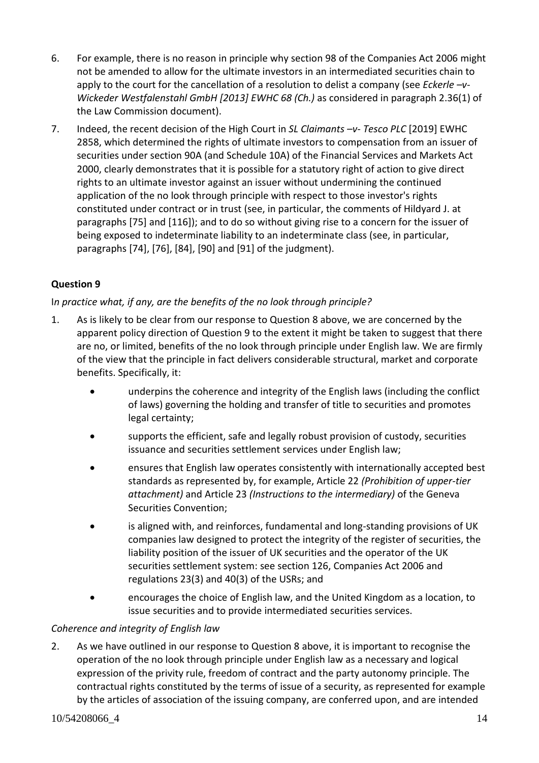- 6. For example, there is no reason in principle why section 98 of the Companies Act 2006 might not be amended to allow for the ultimate investors in an intermediated securities chain to apply to the court for the cancellation of a resolution to delist a company (see *Eckerle –v-Wickeder Westfalenstahl GmbH [2013] EWHC 68 (Ch.)* as considered in paragraph 2.36(1) of the Law Commission document).
- 7. Indeed, the recent decision of the High Court in *SL Claimants –v- Tesco PLC* [2019] EWHC 2858, which determined the rights of ultimate investors to compensation from an issuer of securities under section 90A (and Schedule 10A) of the Financial Services and Markets Act 2000, clearly demonstrates that it is possible for a statutory right of action to give direct rights to an ultimate investor against an issuer without undermining the continued application of the no look through principle with respect to those investor's rights constituted under contract or in trust (see, in particular, the comments of Hildyard J. at paragraphs [75] and [116]); and to do so without giving rise to a concern for the issuer of being exposed to indeterminate liability to an indeterminate class (see, in particular, paragraphs [74], [76], [84], [90] and [91] of the judgment).

## **Question 9**

## I*n practice what, if any, are the benefits of the no look through principle?*

- 1. As is likely to be clear from our response to Question 8 above, we are concerned by the apparent policy direction of Question 9 to the extent it might be taken to suggest that there are no, or limited, benefits of the no look through principle under English law. We are firmly of the view that the principle in fact delivers considerable structural, market and corporate benefits. Specifically, it:
	- underpins the coherence and integrity of the English laws (including the conflict of laws) governing the holding and transfer of title to securities and promotes legal certainty;
	- supports the efficient, safe and legally robust provision of custody, securities issuance and securities settlement services under English law;
	- ensures that English law operates consistently with internationally accepted best standards as represented by, for example, Article 22 *(Prohibition of upper-tier attachment)* and Article 23 *(Instructions to the intermediary)* of the Geneva Securities Convention;
	- is aligned with, and reinforces, fundamental and long-standing provisions of UK companies law designed to protect the integrity of the register of securities, the liability position of the issuer of UK securities and the operator of the UK securities settlement system: see section 126, Companies Act 2006 and regulations 23(3) and 40(3) of the USRs; and
	- encourages the choice of English law, and the United Kingdom as a location, to issue securities and to provide intermediated securities services.

## *Coherence and integrity of English law*

2. As we have outlined in our response to Question 8 above, it is important to recognise the operation of the no look through principle under English law as a necessary and logical expression of the privity rule, freedom of contract and the party autonomy principle. The contractual rights constituted by the terms of issue of a security, as represented for example by the articles of association of the issuing company, are conferred upon, and are intended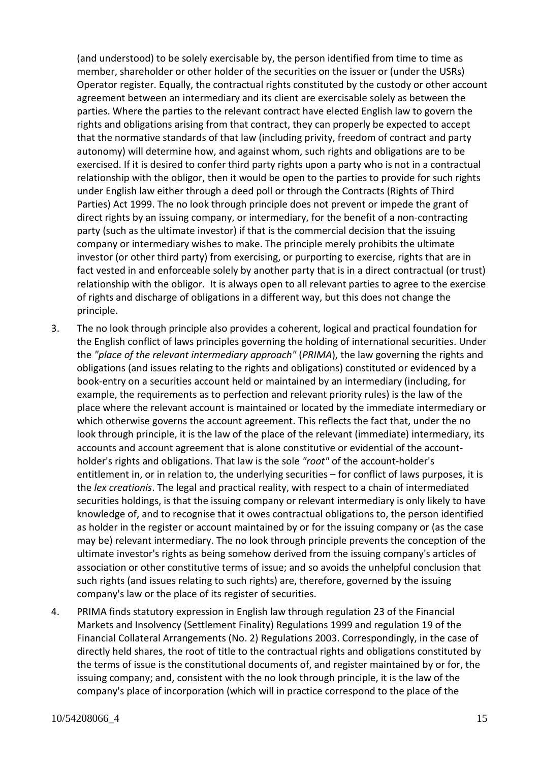(and understood) to be solely exercisable by, the person identified from time to time as member, shareholder or other holder of the securities on the issuer or (under the USRs) Operator register. Equally, the contractual rights constituted by the custody or other account agreement between an intermediary and its client are exercisable solely as between the parties. Where the parties to the relevant contract have elected English law to govern the rights and obligations arising from that contract, they can properly be expected to accept that the normative standards of that law (including privity, freedom of contract and party autonomy) will determine how, and against whom, such rights and obligations are to be exercised. If it is desired to confer third party rights upon a party who is not in a contractual relationship with the obligor, then it would be open to the parties to provide for such rights under English law either through a deed poll or through the Contracts (Rights of Third Parties) Act 1999. The no look through principle does not prevent or impede the grant of direct rights by an issuing company, or intermediary, for the benefit of a non-contracting party (such as the ultimate investor) if that is the commercial decision that the issuing company or intermediary wishes to make. The principle merely prohibits the ultimate investor (or other third party) from exercising, or purporting to exercise, rights that are in fact vested in and enforceable solely by another party that is in a direct contractual (or trust) relationship with the obligor. It is always open to all relevant parties to agree to the exercise of rights and discharge of obligations in a different way, but this does not change the principle.

- 3. The no look through principle also provides a coherent, logical and practical foundation for the English conflict of laws principles governing the holding of international securities. Under the *"place of the relevant intermediary approach"* (*PRIMA*), the law governing the rights and obligations (and issues relating to the rights and obligations) constituted or evidenced by a book-entry on a securities account held or maintained by an intermediary (including, for example, the requirements as to perfection and relevant priority rules) is the law of the place where the relevant account is maintained or located by the immediate intermediary or which otherwise governs the account agreement. This reflects the fact that, under the no look through principle, it is the law of the place of the relevant (immediate) intermediary, its accounts and account agreement that is alone constitutive or evidential of the accountholder's rights and obligations. That law is the sole *"root"* of the account-holder's entitlement in, or in relation to, the underlying securities – for conflict of laws purposes, it is the *lex creationis*. The legal and practical reality, with respect to a chain of intermediated securities holdings, is that the issuing company or relevant intermediary is only likely to have knowledge of, and to recognise that it owes contractual obligations to, the person identified as holder in the register or account maintained by or for the issuing company or (as the case may be) relevant intermediary. The no look through principle prevents the conception of the ultimate investor's rights as being somehow derived from the issuing company's articles of association or other constitutive terms of issue; and so avoids the unhelpful conclusion that such rights (and issues relating to such rights) are, therefore, governed by the issuing company's law or the place of its register of securities.
- 4. PRIMA finds statutory expression in English law through regulation 23 of the Financial Markets and Insolvency (Settlement Finality) Regulations 1999 and regulation 19 of the Financial Collateral Arrangements (No. 2) Regulations 2003. Correspondingly, in the case of directly held shares, the root of title to the contractual rights and obligations constituted by the terms of issue is the constitutional documents of, and register maintained by or for, the issuing company; and, consistent with the no look through principle, it is the law of the company's place of incorporation (which will in practice correspond to the place of the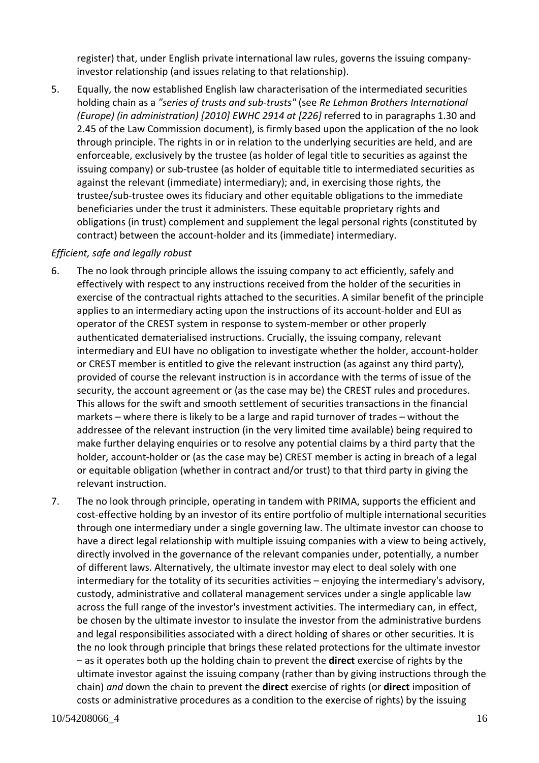register) that, under English private international law rules, governs the issuing companyinvestor relationship (and issues relating to that relationship).

5. Equally, the now established English law characterisation of the intermediated securities holding chain as a *"series of trusts and sub-trusts"* (see *Re Lehman Brothers International (Europe) (in administration) [2010] EWHC 2914 at [226]* referred to in paragraphs 1.30 and 2.45 of the Law Commission document), is firmly based upon the application of the no look through principle. The rights in or in relation to the underlying securities are held, and are enforceable, exclusively by the trustee (as holder of legal title to securities as against the issuing company) or sub-trustee (as holder of equitable title to intermediated securities as against the relevant (immediate) intermediary); and, in exercising those rights, the trustee/sub-trustee owes its fiduciary and other equitable obligations to the immediate beneficiaries under the trust it administers. These equitable proprietary rights and obligations (in trust) complement and supplement the legal personal rights (constituted by contract) between the account-holder and its (immediate) intermediary.

#### *Efficient, safe and legally robust*

- 6. The no look through principle allows the issuing company to act efficiently, safely and effectively with respect to any instructions received from the holder of the securities in exercise of the contractual rights attached to the securities. A similar benefit of the principle applies to an intermediary acting upon the instructions of its account-holder and EUI as operator of the CREST system in response to system-member or other properly authenticated dematerialised instructions. Crucially, the issuing company, relevant intermediary and EUI have no obligation to investigate whether the holder, account-holder or CREST member is entitled to give the relevant instruction (as against any third party), provided of course the relevant instruction is in accordance with the terms of issue of the security, the account agreement or (as the case may be) the CREST rules and procedures. This allows for the swift and smooth settlement of securities transactions in the financial markets – where there is likely to be a large and rapid turnover of trades – without the addressee of the relevant instruction (in the very limited time available) being required to make further delaying enquiries or to resolve any potential claims by a third party that the holder, account-holder or (as the case may be) CREST member is acting in breach of a legal or equitable obligation (whether in contract and/or trust) to that third party in giving the relevant instruction.
- 7. The no look through principle, operating in tandem with PRIMA, supports the efficient and cost-effective holding by an investor of its entire portfolio of multiple international securities through one intermediary under a single governing law. The ultimate investor can choose to have a direct legal relationship with multiple issuing companies with a view to being actively, directly involved in the governance of the relevant companies under, potentially, a number of different laws. Alternatively, the ultimate investor may elect to deal solely with one intermediary for the totality of its securities activities – enjoying the intermediary's advisory, custody, administrative and collateral management services under a single applicable law across the full range of the investor's investment activities. The intermediary can, in effect, be chosen by the ultimate investor to insulate the investor from the administrative burdens and legal responsibilities associated with a direct holding of shares or other securities. It is the no look through principle that brings these related protections for the ultimate investor – as it operates both up the holding chain to prevent the **direct** exercise of rights by the ultimate investor against the issuing company (rather than by giving instructions through the chain) *and* down the chain to prevent the **direct** exercise of rights (or **direct** imposition of costs or administrative procedures as a condition to the exercise of rights) by the issuing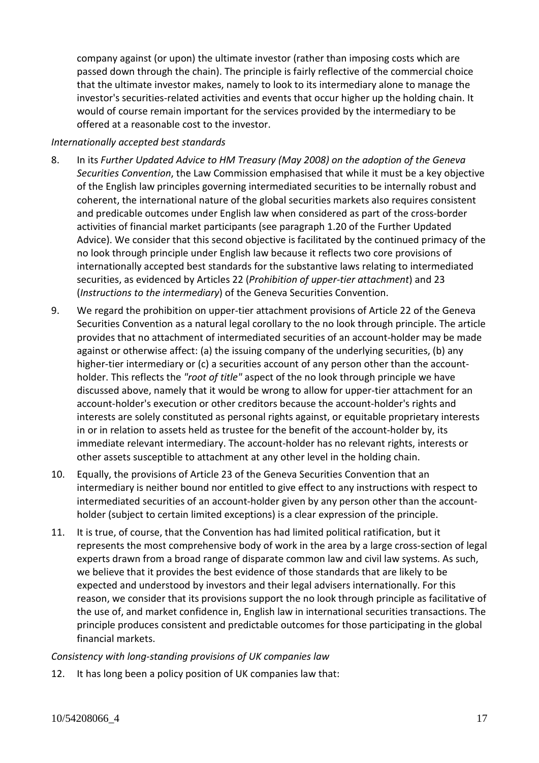company against (or upon) the ultimate investor (rather than imposing costs which are passed down through the chain). The principle is fairly reflective of the commercial choice that the ultimate investor makes, namely to look to its intermediary alone to manage the investor's securities-related activities and events that occur higher up the holding chain. It would of course remain important for the services provided by the intermediary to be offered at a reasonable cost to the investor.

#### *Internationally accepted best standards*

- 8. In its *Further Updated Advice to HM Treasury (May 2008) on the adoption of the Geneva Securities Convention*, the Law Commission emphasised that while it must be a key objective of the English law principles governing intermediated securities to be internally robust and coherent, the international nature of the global securities markets also requires consistent and predicable outcomes under English law when considered as part of the cross-border activities of financial market participants (see paragraph 1.20 of the Further Updated Advice). We consider that this second objective is facilitated by the continued primacy of the no look through principle under English law because it reflects two core provisions of internationally accepted best standards for the substantive laws relating to intermediated securities, as evidenced by Articles 22 (*Prohibition of upper-tier attachment*) and 23 (*Instructions to the intermediary*) of the Geneva Securities Convention.
- 9. We regard the prohibition on upper-tier attachment provisions of Article 22 of the Geneva Securities Convention as a natural legal corollary to the no look through principle. The article provides that no attachment of intermediated securities of an account-holder may be made against or otherwise affect: (a) the issuing company of the underlying securities, (b) any higher-tier intermediary or (c) a securities account of any person other than the accountholder. This reflects the *"root of title"* aspect of the no look through principle we have discussed above, namely that it would be wrong to allow for upper-tier attachment for an account-holder's execution or other creditors because the account-holder's rights and interests are solely constituted as personal rights against, or equitable proprietary interests in or in relation to assets held as trustee for the benefit of the account-holder by, its immediate relevant intermediary. The account-holder has no relevant rights, interests or other assets susceptible to attachment at any other level in the holding chain.
- 10. Equally, the provisions of Article 23 of the Geneva Securities Convention that an intermediary is neither bound nor entitled to give effect to any instructions with respect to intermediated securities of an account-holder given by any person other than the accountholder (subject to certain limited exceptions) is a clear expression of the principle.
- 11. It is true, of course, that the Convention has had limited political ratification, but it represents the most comprehensive body of work in the area by a large cross-section of legal experts drawn from a broad range of disparate common law and civil law systems. As such, we believe that it provides the best evidence of those standards that are likely to be expected and understood by investors and their legal advisers internationally. For this reason, we consider that its provisions support the no look through principle as facilitative of the use of, and market confidence in, English law in international securities transactions. The principle produces consistent and predictable outcomes for those participating in the global financial markets.

## *Consistency with long-standing provisions of UK companies law*

12. It has long been a policy position of UK companies law that: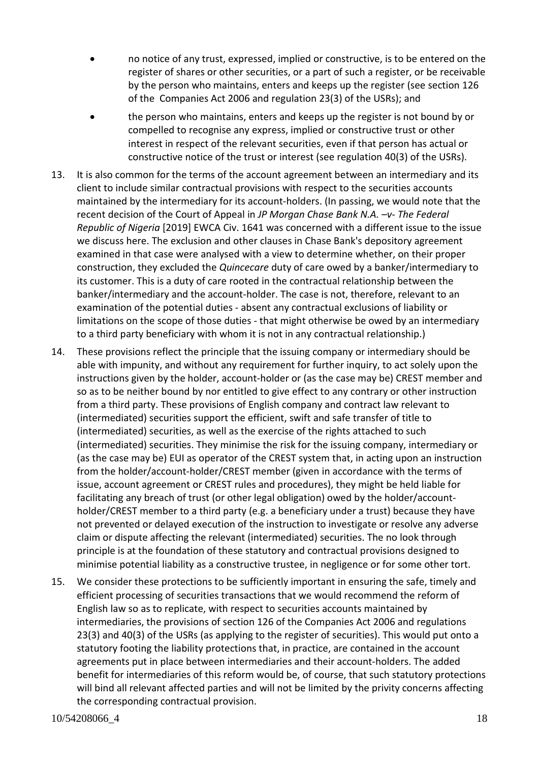- no notice of any trust, expressed, implied or constructive, is to be entered on the register of shares or other securities, or a part of such a register, or be receivable by the person who maintains, enters and keeps up the register (see section 126 of the Companies Act 2006 and regulation 23(3) of the USRs); and
- the person who maintains, enters and keeps up the register is not bound by or compelled to recognise any express, implied or constructive trust or other interest in respect of the relevant securities, even if that person has actual or constructive notice of the trust or interest (see regulation 40(3) of the USRs).
- 13. It is also common for the terms of the account agreement between an intermediary and its client to include similar contractual provisions with respect to the securities accounts maintained by the intermediary for its account-holders. (In passing, we would note that the recent decision of the Court of Appeal in *JP Morgan Chase Bank N.A. –v- The Federal Republic of Nigeria* [2019] EWCA Civ. 1641 was concerned with a different issue to the issue we discuss here. The exclusion and other clauses in Chase Bank's depository agreement examined in that case were analysed with a view to determine whether, on their proper construction, they excluded the *Quincecare* duty of care owed by a banker/intermediary to its customer. This is a duty of care rooted in the contractual relationship between the banker/intermediary and the account-holder. The case is not, therefore, relevant to an examination of the potential duties - absent any contractual exclusions of liability or limitations on the scope of those duties - that might otherwise be owed by an intermediary to a third party beneficiary with whom it is not in any contractual relationship.)
- 14. These provisions reflect the principle that the issuing company or intermediary should be able with impunity, and without any requirement for further inquiry, to act solely upon the instructions given by the holder, account-holder or (as the case may be) CREST member and so as to be neither bound by nor entitled to give effect to any contrary or other instruction from a third party. These provisions of English company and contract law relevant to (intermediated) securities support the efficient, swift and safe transfer of title to (intermediated) securities, as well as the exercise of the rights attached to such (intermediated) securities. They minimise the risk for the issuing company, intermediary or (as the case may be) EUI as operator of the CREST system that, in acting upon an instruction from the holder/account-holder/CREST member (given in accordance with the terms of issue, account agreement or CREST rules and procedures), they might be held liable for facilitating any breach of trust (or other legal obligation) owed by the holder/accountholder/CREST member to a third party (e.g. a beneficiary under a trust) because they have not prevented or delayed execution of the instruction to investigate or resolve any adverse claim or dispute affecting the relevant (intermediated) securities. The no look through principle is at the foundation of these statutory and contractual provisions designed to minimise potential liability as a constructive trustee, in negligence or for some other tort.
- 15. We consider these protections to be sufficiently important in ensuring the safe, timely and efficient processing of securities transactions that we would recommend the reform of English law so as to replicate, with respect to securities accounts maintained by intermediaries, the provisions of section 126 of the Companies Act 2006 and regulations 23(3) and 40(3) of the USRs (as applying to the register of securities). This would put onto a statutory footing the liability protections that, in practice, are contained in the account agreements put in place between intermediaries and their account-holders. The added benefit for intermediaries of this reform would be, of course, that such statutory protections will bind all relevant affected parties and will not be limited by the privity concerns affecting the corresponding contractual provision.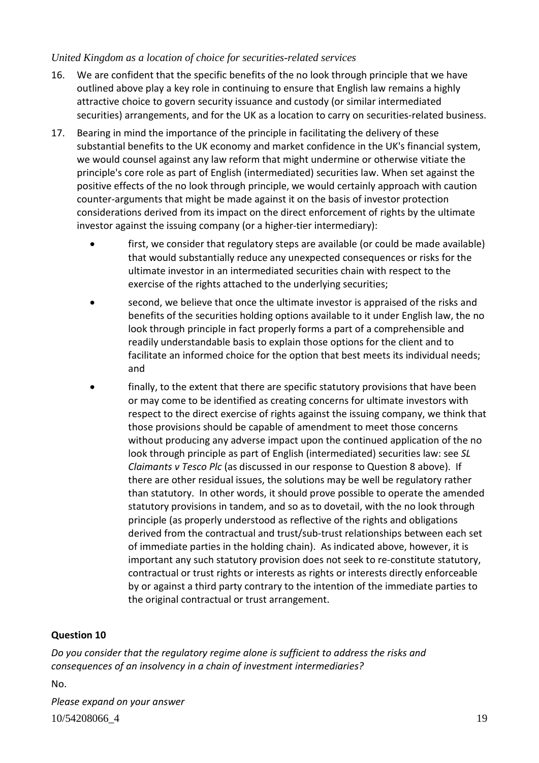## *United Kingdom as a location of choice for securities-related services*

- 16. We are confident that the specific benefits of the no look through principle that we have outlined above play a key role in continuing to ensure that English law remains a highly attractive choice to govern security issuance and custody (or similar intermediated securities) arrangements, and for the UK as a location to carry on securities-related business.
- 17. Bearing in mind the importance of the principle in facilitating the delivery of these substantial benefits to the UK economy and market confidence in the UK's financial system, we would counsel against any law reform that might undermine or otherwise vitiate the principle's core role as part of English (intermediated) securities law. When set against the positive effects of the no look through principle, we would certainly approach with caution counter-arguments that might be made against it on the basis of investor protection considerations derived from its impact on the direct enforcement of rights by the ultimate investor against the issuing company (or a higher-tier intermediary):
	- first, we consider that regulatory steps are available (or could be made available) that would substantially reduce any unexpected consequences or risks for the ultimate investor in an intermediated securities chain with respect to the exercise of the rights attached to the underlying securities;
	- second, we believe that once the ultimate investor is appraised of the risks and benefits of the securities holding options available to it under English law, the no look through principle in fact properly forms a part of a comprehensible and readily understandable basis to explain those options for the client and to facilitate an informed choice for the option that best meets its individual needs; and
	- finally, to the extent that there are specific statutory provisions that have been or may come to be identified as creating concerns for ultimate investors with respect to the direct exercise of rights against the issuing company, we think that those provisions should be capable of amendment to meet those concerns without producing any adverse impact upon the continued application of the no look through principle as part of English (intermediated) securities law: see *SL Claimants v Tesco Plc* (as discussed in our response to Question 8 above). If there are other residual issues, the solutions may be well be regulatory rather than statutory. In other words, it should prove possible to operate the amended statutory provisions in tandem, and so as to dovetail, with the no look through principle (as properly understood as reflective of the rights and obligations derived from the contractual and trust/sub-trust relationships between each set of immediate parties in the holding chain). As indicated above, however, it is important any such statutory provision does not seek to re-constitute statutory, contractual or trust rights or interests as rights or interests directly enforceable by or against a third party contrary to the intention of the immediate parties to the original contractual or trust arrangement.

## **Question 10**

*Do you consider that the regulatory regime alone is sufficient to address the risks and consequences of an insolvency in a chain of investment intermediaries?*

No.

10/54208066<sup>4</sup> 19 *Please expand on your answer*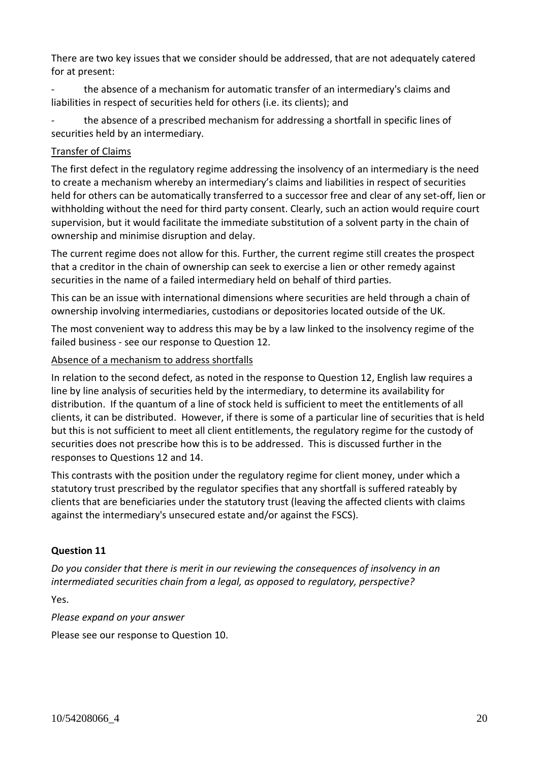There are two key issues that we consider should be addressed, that are not adequately catered for at present:

the absence of a mechanism for automatic transfer of an intermediary's claims and liabilities in respect of securities held for others (i.e. its clients); and

the absence of a prescribed mechanism for addressing a shortfall in specific lines of securities held by an intermediary.

## Transfer of Claims

The first defect in the regulatory regime addressing the insolvency of an intermediary is the need to create a mechanism whereby an intermediary's claims and liabilities in respect of securities held for others can be automatically transferred to a successor free and clear of any set-off, lien or withholding without the need for third party consent. Clearly, such an action would require court supervision, but it would facilitate the immediate substitution of a solvent party in the chain of ownership and minimise disruption and delay.

The current regime does not allow for this. Further, the current regime still creates the prospect that a creditor in the chain of ownership can seek to exercise a lien or other remedy against securities in the name of a failed intermediary held on behalf of third parties.

This can be an issue with international dimensions where securities are held through a chain of ownership involving intermediaries, custodians or depositories located outside of the UK.

The most convenient way to address this may be by a law linked to the insolvency regime of the failed business - see our response to Question 12.

## Absence of a mechanism to address shortfalls

In relation to the second defect, as noted in the response to Question 12, English law requires a line by line analysis of securities held by the intermediary, to determine its availability for distribution. If the quantum of a line of stock held is sufficient to meet the entitlements of all clients, it can be distributed. However, if there is some of a particular line of securities that is held but this is not sufficient to meet all client entitlements, the regulatory regime for the custody of securities does not prescribe how this is to be addressed. This is discussed further in the responses to Questions 12 and 14.

This contrasts with the position under the regulatory regime for client money, under which a statutory trust prescribed by the regulator specifies that any shortfall is suffered rateably by clients that are beneficiaries under the statutory trust (leaving the affected clients with claims against the intermediary's unsecured estate and/or against the FSCS).

## **Question 11**

*Do you consider that there is merit in our reviewing the consequences of insolvency in an intermediated securities chain from a legal, as opposed to regulatory, perspective?*

Yes.

*Please expand on your answer*

Please see our response to Question 10.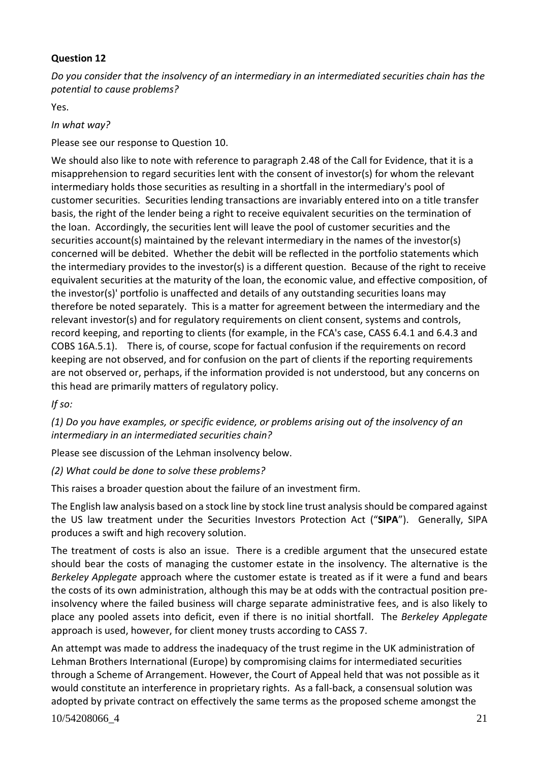## **Question 12**

*Do you consider that the insolvency of an intermediary in an intermediated securities chain has the potential to cause problems?*

Yes.

## *In what way?*

Please see our response to Question 10.

We should also like to note with reference to paragraph 2.48 of the Call for Evidence, that it is a misapprehension to regard securities lent with the consent of investor(s) for whom the relevant intermediary holds those securities as resulting in a shortfall in the intermediary's pool of customer securities. Securities lending transactions are invariably entered into on a title transfer basis, the right of the lender being a right to receive equivalent securities on the termination of the loan. Accordingly, the securities lent will leave the pool of customer securities and the securities account(s) maintained by the relevant intermediary in the names of the investor(s) concerned will be debited. Whether the debit will be reflected in the portfolio statements which the intermediary provides to the investor(s) is a different question. Because of the right to receive equivalent securities at the maturity of the loan, the economic value, and effective composition, of the investor(s)' portfolio is unaffected and details of any outstanding securities loans may therefore be noted separately. This is a matter for agreement between the intermediary and the relevant investor(s) and for regulatory requirements on client consent, systems and controls, record keeping, and reporting to clients (for example, in the FCA's case, CASS 6.4.1 and 6.4.3 and COBS 16A.5.1). There is, of course, scope for factual confusion if the requirements on record keeping are not observed, and for confusion on the part of clients if the reporting requirements are not observed or, perhaps, if the information provided is not understood, but any concerns on this head are primarily matters of regulatory policy.

*If so:*

*(1) Do you have examples, or specific evidence, or problems arising out of the insolvency of an intermediary in an intermediated securities chain?*

Please see discussion of the Lehman insolvency below.

*(2) What could be done to solve these problems?*

This raises a broader question about the failure of an investment firm.

The English law analysis based on a stock line by stock line trust analysisshould be compared against the US law treatment under the Securities Investors Protection Act ("**SIPA**"). Generally, SIPA produces a swift and high recovery solution.

The treatment of costs is also an issue. There is a credible argument that the unsecured estate should bear the costs of managing the customer estate in the insolvency. The alternative is the *Berkeley Applegate* approach where the customer estate is treated as if it were a fund and bears the costs of its own administration, although this may be at odds with the contractual position preinsolvency where the failed business will charge separate administrative fees, and is also likely to place any pooled assets into deficit, even if there is no initial shortfall. The *Berkeley Applegate* approach is used, however, for client money trusts according to CASS 7.

An attempt was made to address the inadequacy of the trust regime in the UK administration of Lehman Brothers International (Europe) by compromising claims for intermediated securities through a Scheme of Arrangement. However, the Court of Appeal held that was not possible as it would constitute an interference in proprietary rights. As a fall-back, a consensual solution was adopted by private contract on effectively the same terms as the proposed scheme amongst the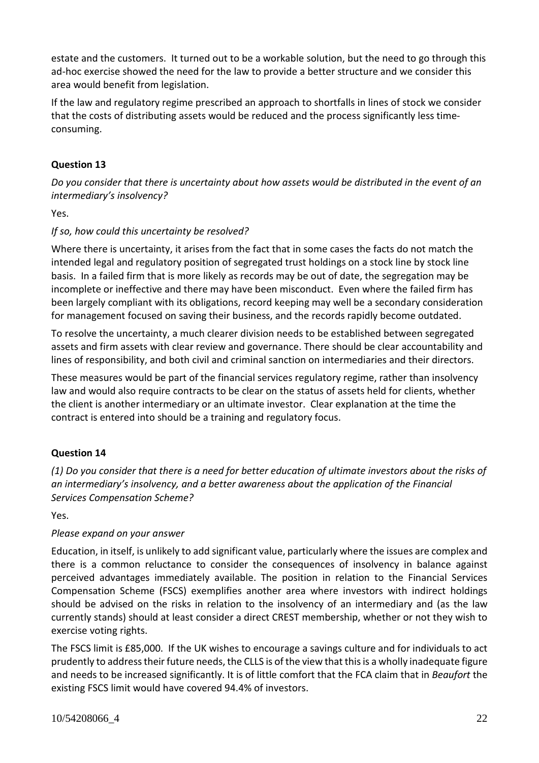estate and the customers. It turned out to be a workable solution, but the need to go through this ad-hoc exercise showed the need for the law to provide a better structure and we consider this area would benefit from legislation.

If the law and regulatory regime prescribed an approach to shortfalls in lines of stock we consider that the costs of distributing assets would be reduced and the process significantly less timeconsuming.

# **Question 13**

*Do you consider that there is uncertainty about how assets would be distributed in the event of an intermediary's insolvency?*

Yes.

## *If so, how could this uncertainty be resolved?*

Where there is uncertainty, it arises from the fact that in some cases the facts do not match the intended legal and regulatory position of segregated trust holdings on a stock line by stock line basis. In a failed firm that is more likely as records may be out of date, the segregation may be incomplete or ineffective and there may have been misconduct. Even where the failed firm has been largely compliant with its obligations, record keeping may well be a secondary consideration for management focused on saving their business, and the records rapidly become outdated.

To resolve the uncertainty, a much clearer division needs to be established between segregated assets and firm assets with clear review and governance. There should be clear accountability and lines of responsibility, and both civil and criminal sanction on intermediaries and their directors.

These measures would be part of the financial services regulatory regime, rather than insolvency law and would also require contracts to be clear on the status of assets held for clients, whether the client is another intermediary or an ultimate investor. Clear explanation at the time the contract is entered into should be a training and regulatory focus.

## **Question 14**

(1) Do you consider that there is a need for better education of ultimate investors about the risks of *an intermediary's insolvency, and a better awareness about the application of the Financial Services Compensation Scheme?*

Yes.

## *Please expand on your answer*

Education, in itself, is unlikely to add significant value, particularly where the issues are complex and there is a common reluctance to consider the consequences of insolvency in balance against perceived advantages immediately available. The position in relation to the Financial Services Compensation Scheme (FSCS) exemplifies another area where investors with indirect holdings should be advised on the risks in relation to the insolvency of an intermediary and (as the law currently stands) should at least consider a direct CREST membership, whether or not they wish to exercise voting rights.

The FSCS limit is £85,000. If the UK wishes to encourage a savings culture and for individuals to act prudently to addresstheir future needs, the CLLS is of the view that thisis a wholly inadequate figure and needs to be increased significantly. It is of little comfort that the FCA claim that in *Beaufort* the existing FSCS limit would have covered 94.4% of investors.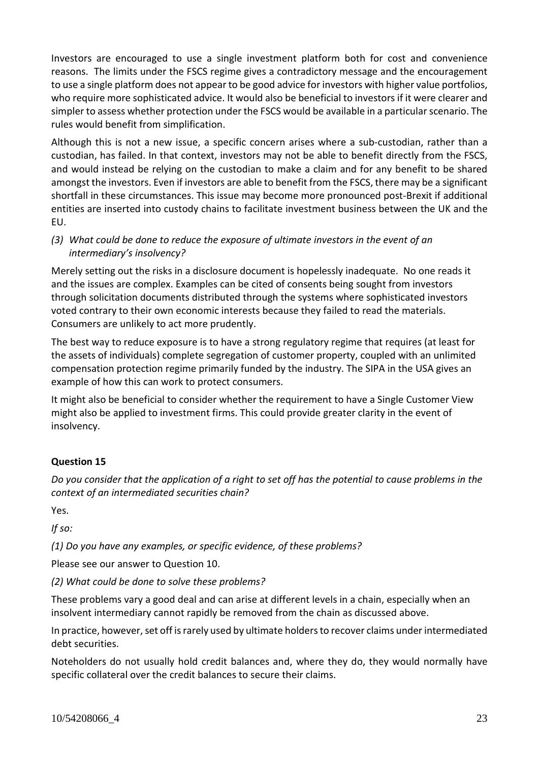Investors are encouraged to use a single investment platform both for cost and convenience reasons. The limits under the FSCS regime gives a contradictory message and the encouragement to use a single platform does not appear to be good advice for investors with higher value portfolios, who require more sophisticated advice. It would also be beneficial to investors if it were clearer and simpler to assess whether protection under the FSCS would be available in a particular scenario. The rules would benefit from simplification.

Although this is not a new issue, a specific concern arises where a sub-custodian, rather than a custodian, has failed. In that context, investors may not be able to benefit directly from the FSCS, and would instead be relying on the custodian to make a claim and for any benefit to be shared amongst the investors. Even if investors are able to benefit from the FSCS, there may be a significant shortfall in these circumstances. This issue may become more pronounced post-Brexit if additional entities are inserted into custody chains to facilitate investment business between the UK and the EU.

## *(3) What could be done to reduce the exposure of ultimate investors in the event of an intermediary's insolvency?*

Merely setting out the risks in a disclosure document is hopelessly inadequate. No one reads it and the issues are complex. Examples can be cited of consents being sought from investors through solicitation documents distributed through the systems where sophisticated investors voted contrary to their own economic interests because they failed to read the materials. Consumers are unlikely to act more prudently.

The best way to reduce exposure is to have a strong regulatory regime that requires (at least for the assets of individuals) complete segregation of customer property, coupled with an unlimited compensation protection regime primarily funded by the industry. The SIPA in the USA gives an example of how this can work to protect consumers.

It might also be beneficial to consider whether the requirement to have a Single Customer View might also be applied to investment firms. This could provide greater clarity in the event of insolvency.

## **Question 15**

Do you consider that the application of a right to set off has the potential to cause problems in the *context of an intermediated securities chain?*

Yes.

*If so:*

*(1) Do you have any examples, or specific evidence, of these problems?*

Please see our answer to Question 10.

*(2) What could be done to solve these problems?*

These problems vary a good deal and can arise at different levels in a chain, especially when an insolvent intermediary cannot rapidly be removed from the chain as discussed above.

In practice, however, set off is rarely used by ultimate holders to recover claims under intermediated debt securities.

Noteholders do not usually hold credit balances and, where they do, they would normally have specific collateral over the credit balances to secure their claims.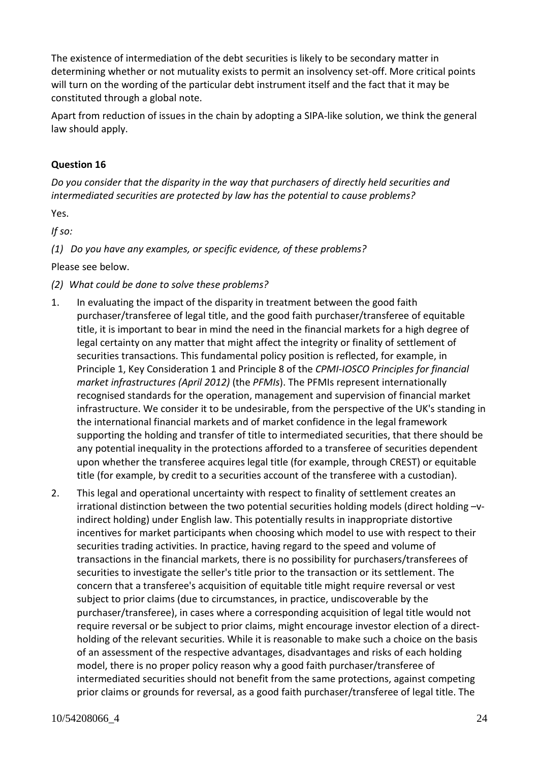The existence of intermediation of the debt securities is likely to be secondary matter in determining whether or not mutuality exists to permit an insolvency set-off. More critical points will turn on the wording of the particular debt instrument itself and the fact that it may be constituted through a global note.

Apart from reduction of issues in the chain by adopting a SIPA-like solution, we think the general law should apply.

## **Question 16**

*Do you consider that the disparity in the way that purchasers of directly held securities and intermediated securities are protected by law has the potential to cause problems?*

Yes.

*If so:*

*(1) Do you have any examples, or specific evidence, of these problems?*

Please see below.

- *(2) What could be done to solve these problems?*
- 1. In evaluating the impact of the disparity in treatment between the good faith purchaser/transferee of legal title, and the good faith purchaser/transferee of equitable title, it is important to bear in mind the need in the financial markets for a high degree of legal certainty on any matter that might affect the integrity or finality of settlement of securities transactions. This fundamental policy position is reflected, for example, in Principle 1, Key Consideration 1 and Principle 8 of the *CPMI-IOSCO Principles for financial market infrastructures (April 2012)* (the *PFMIs*). The PFMIs represent internationally recognised standards for the operation, management and supervision of financial market infrastructure. We consider it to be undesirable, from the perspective of the UK's standing in the international financial markets and of market confidence in the legal framework supporting the holding and transfer of title to intermediated securities, that there should be any potential inequality in the protections afforded to a transferee of securities dependent upon whether the transferee acquires legal title (for example, through CREST) or equitable title (for example, by credit to a securities account of the transferee with a custodian).
- 2. This legal and operational uncertainty with respect to finality of settlement creates an irrational distinction between the two potential securities holding models (direct holding –vindirect holding) under English law. This potentially results in inappropriate distortive incentives for market participants when choosing which model to use with respect to their securities trading activities. In practice, having regard to the speed and volume of transactions in the financial markets, there is no possibility for purchasers/transferees of securities to investigate the seller's title prior to the transaction or its settlement. The concern that a transferee's acquisition of equitable title might require reversal or vest subject to prior claims (due to circumstances, in practice, undiscoverable by the purchaser/transferee), in cases where a corresponding acquisition of legal title would not require reversal or be subject to prior claims, might encourage investor election of a directholding of the relevant securities. While it is reasonable to make such a choice on the basis of an assessment of the respective advantages, disadvantages and risks of each holding model, there is no proper policy reason why a good faith purchaser/transferee of intermediated securities should not benefit from the same protections, against competing prior claims or grounds for reversal, as a good faith purchaser/transferee of legal title. The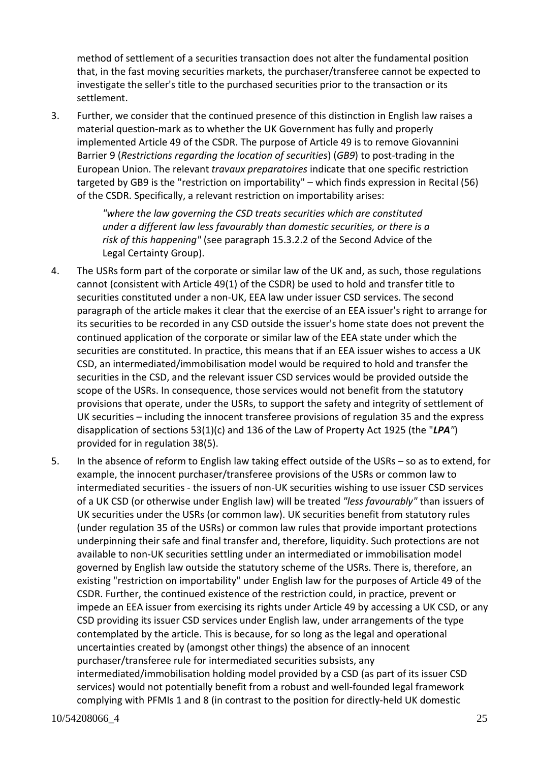method of settlement of a securities transaction does not alter the fundamental position that, in the fast moving securities markets, the purchaser/transferee cannot be expected to investigate the seller's title to the purchased securities prior to the transaction or its settlement.

3. Further, we consider that the continued presence of this distinction in English law raises a material question-mark as to whether the UK Government has fully and properly implemented Article 49 of the CSDR. The purpose of Article 49 is to remove Giovannini Barrier 9 (*Restrictions regarding the location of securities*) (*GB9*) to post-trading in the European Union. The relevant *travaux preparatoires* indicate that one specific restriction targeted by GB9 is the "restriction on importability" – which finds expression in Recital (56) of the CSDR. Specifically, a relevant restriction on importability arises:

> *"where the law governing the CSD treats securities which are constituted under a different law less favourably than domestic securities, or there is a risk of this happening"* (see paragraph 15.3.2.2 of the Second Advice of the Legal Certainty Group).

- 4. The USRs form part of the corporate or similar law of the UK and, as such, those regulations cannot (consistent with Article 49(1) of the CSDR) be used to hold and transfer title to securities constituted under a non-UK, EEA law under issuer CSD services. The second paragraph of the article makes it clear that the exercise of an EEA issuer's right to arrange for its securities to be recorded in any CSD outside the issuer's home state does not prevent the continued application of the corporate or similar law of the EEA state under which the securities are constituted. In practice, this means that if an EEA issuer wishes to access a UK CSD, an intermediated/immobilisation model would be required to hold and transfer the securities in the CSD, and the relevant issuer CSD services would be provided outside the scope of the USRs. In consequence, those services would not benefit from the statutory provisions that operate, under the USRs, to support the safety and integrity of settlement of UK securities – including the innocent transferee provisions of regulation 35 and the express disapplication of sections 53(1)(c) and 136 of the Law of Property Act 1925 (the "*LPA"*) provided for in regulation 38(5).
- 5. In the absence of reform to English law taking effect outside of the USRs so as to extend, for example, the innocent purchaser/transferee provisions of the USRs or common law to intermediated securities - the issuers of non-UK securities wishing to use issuer CSD services of a UK CSD (or otherwise under English law) will be treated *"less favourably"* than issuers of UK securities under the USRs (or common law). UK securities benefit from statutory rules (under regulation 35 of the USRs) or common law rules that provide important protections underpinning their safe and final transfer and, therefore, liquidity. Such protections are not available to non-UK securities settling under an intermediated or immobilisation model governed by English law outside the statutory scheme of the USRs. There is, therefore, an existing "restriction on importability" under English law for the purposes of Article 49 of the CSDR. Further, the continued existence of the restriction could, in practice, prevent or impede an EEA issuer from exercising its rights under Article 49 by accessing a UK CSD, or any CSD providing its issuer CSD services under English law, under arrangements of the type contemplated by the article. This is because, for so long as the legal and operational uncertainties created by (amongst other things) the absence of an innocent purchaser/transferee rule for intermediated securities subsists, any intermediated/immobilisation holding model provided by a CSD (as part of its issuer CSD services) would not potentially benefit from a robust and well-founded legal framework complying with PFMIs 1 and 8 (in contrast to the position for directly-held UK domestic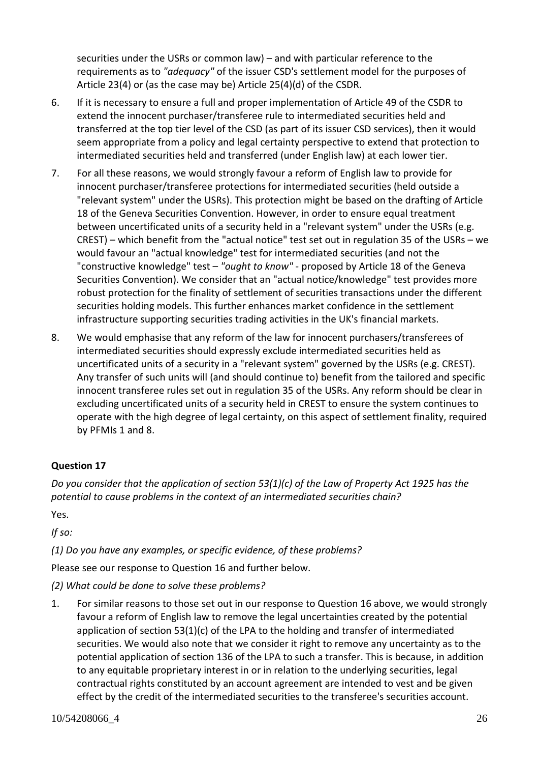securities under the USRs or common law) – and with particular reference to the requirements as to *"adequacy"* of the issuer CSD's settlement model for the purposes of Article 23(4) or (as the case may be) Article 25(4)(d) of the CSDR.

- 6. If it is necessary to ensure a full and proper implementation of Article 49 of the CSDR to extend the innocent purchaser/transferee rule to intermediated securities held and transferred at the top tier level of the CSD (as part of its issuer CSD services), then it would seem appropriate from a policy and legal certainty perspective to extend that protection to intermediated securities held and transferred (under English law) at each lower tier.
- 7. For all these reasons, we would strongly favour a reform of English law to provide for innocent purchaser/transferee protections for intermediated securities (held outside a "relevant system" under the USRs). This protection might be based on the drafting of Article 18 of the Geneva Securities Convention. However, in order to ensure equal treatment between uncertificated units of a security held in a "relevant system" under the USRs (e.g. CREST) – which benefit from the "actual notice" test set out in regulation 35 of the USRs – we would favour an "actual knowledge" test for intermediated securities (and not the "constructive knowledge" test – *"ought to know"* - proposed by Article 18 of the Geneva Securities Convention). We consider that an "actual notice/knowledge" test provides more robust protection for the finality of settlement of securities transactions under the different securities holding models. This further enhances market confidence in the settlement infrastructure supporting securities trading activities in the UK's financial markets.
- 8. We would emphasise that any reform of the law for innocent purchasers/transferees of intermediated securities should expressly exclude intermediated securities held as uncertificated units of a security in a "relevant system" governed by the USRs (e.g. CREST). Any transfer of such units will (and should continue to) benefit from the tailored and specific innocent transferee rules set out in regulation 35 of the USRs. Any reform should be clear in excluding uncertificated units of a security held in CREST to ensure the system continues to operate with the high degree of legal certainty, on this aspect of settlement finality, required by PFMIs 1 and 8.

## **Question 17**

*Do you consider that the application of section 53(1)(c) of the Law of Property Act 1925 has the potential to cause problems in the context of an intermediated securities chain?*

Yes.

*If so:*

*(1) Do you have any examples, or specific evidence, of these problems?*

Please see our response to Question 16 and further below.

*(2) What could be done to solve these problems?*

1. For similar reasons to those set out in our response to Question 16 above, we would strongly favour a reform of English law to remove the legal uncertainties created by the potential application of section 53(1)(c) of the LPA to the holding and transfer of intermediated securities. We would also note that we consider it right to remove any uncertainty as to the potential application of section 136 of the LPA to such a transfer. This is because, in addition to any equitable proprietary interest in or in relation to the underlying securities, legal contractual rights constituted by an account agreement are intended to vest and be given effect by the credit of the intermediated securities to the transferee's securities account.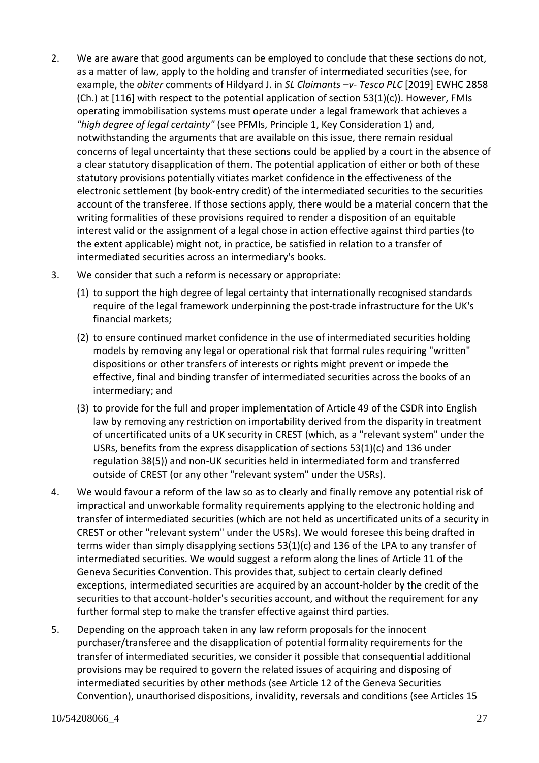- 2. We are aware that good arguments can be employed to conclude that these sections do not, as a matter of law, apply to the holding and transfer of intermediated securities (see, for example, the *obiter* comments of Hildyard J. in *SL Claimants –v- Tesco PLC* [2019] EWHC 2858  $(Ch.)$  at  $[116]$  with respect to the potential application of section 53 $(1)(c)$ ). However, FMIs operating immobilisation systems must operate under a legal framework that achieves a *"high degree of legal certainty"* (see PFMIs, Principle 1, Key Consideration 1) and, notwithstanding the arguments that are available on this issue, there remain residual concerns of legal uncertainty that these sections could be applied by a court in the absence of a clear statutory disapplication of them. The potential application of either or both of these statutory provisions potentially vitiates market confidence in the effectiveness of the electronic settlement (by book-entry credit) of the intermediated securities to the securities account of the transferee. If those sections apply, there would be a material concern that the writing formalities of these provisions required to render a disposition of an equitable interest valid or the assignment of a legal chose in action effective against third parties (to the extent applicable) might not, in practice, be satisfied in relation to a transfer of intermediated securities across an intermediary's books.
- 3. We consider that such a reform is necessary or appropriate:
	- (1) to support the high degree of legal certainty that internationally recognised standards require of the legal framework underpinning the post-trade infrastructure for the UK's financial markets;
	- (2) to ensure continued market confidence in the use of intermediated securities holding models by removing any legal or operational risk that formal rules requiring "written" dispositions or other transfers of interests or rights might prevent or impede the effective, final and binding transfer of intermediated securities across the books of an intermediary; and
	- (3) to provide for the full and proper implementation of Article 49 of the CSDR into English law by removing any restriction on importability derived from the disparity in treatment of uncertificated units of a UK security in CREST (which, as a "relevant system" under the USRs, benefits from the express disapplication of sections 53(1)(c) and 136 under regulation 38(5)) and non-UK securities held in intermediated form and transferred outside of CREST (or any other "relevant system" under the USRs).
- 4. We would favour a reform of the law so as to clearly and finally remove any potential risk of impractical and unworkable formality requirements applying to the electronic holding and transfer of intermediated securities (which are not held as uncertificated units of a security in CREST or other "relevant system" under the USRs). We would foresee this being drafted in terms wider than simply disapplying sections 53(1)(c) and 136 of the LPA to any transfer of intermediated securities. We would suggest a reform along the lines of Article 11 of the Geneva Securities Convention. This provides that, subject to certain clearly defined exceptions, intermediated securities are acquired by an account-holder by the credit of the securities to that account-holder's securities account, and without the requirement for any further formal step to make the transfer effective against third parties.
- 5. Depending on the approach taken in any law reform proposals for the innocent purchaser/transferee and the disapplication of potential formality requirements for the transfer of intermediated securities, we consider it possible that consequential additional provisions may be required to govern the related issues of acquiring and disposing of intermediated securities by other methods (see Article 12 of the Geneva Securities Convention), unauthorised dispositions, invalidity, reversals and conditions (see Articles 15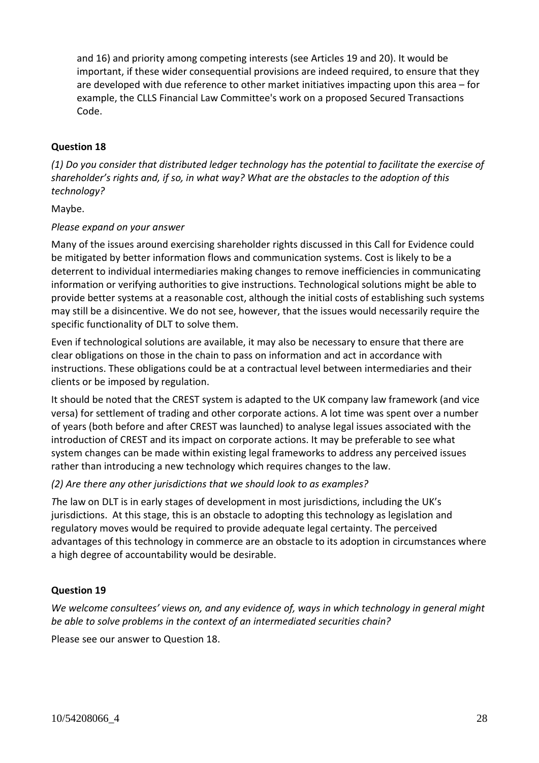and 16) and priority among competing interests (see Articles 19 and 20). It would be important, if these wider consequential provisions are indeed required, to ensure that they are developed with due reference to other market initiatives impacting upon this area – for example, the CLLS Financial Law Committee's work on a proposed Secured Transactions Code.

#### **Question 18**

*(1) Do you consider that distributed ledger technology has the potential to facilitate the exercise of shareholder's rights and, if so, in what way? What are the obstacles to the adoption of this technology?*

Maybe.

#### *Please expand on your answer*

Many of the issues around exercising shareholder rights discussed in this Call for Evidence could be mitigated by better information flows and communication systems. Cost is likely to be a deterrent to individual intermediaries making changes to remove inefficiencies in communicating information or verifying authorities to give instructions. Technological solutions might be able to provide better systems at a reasonable cost, although the initial costs of establishing such systems may still be a disincentive. We do not see, however, that the issues would necessarily require the specific functionality of DLT to solve them.

Even if technological solutions are available, it may also be necessary to ensure that there are clear obligations on those in the chain to pass on information and act in accordance with instructions. These obligations could be at a contractual level between intermediaries and their clients or be imposed by regulation.

It should be noted that the CREST system is adapted to the UK company law framework (and vice versa) for settlement of trading and other corporate actions. A lot time was spent over a number of years (both before and after CREST was launched) to analyse legal issues associated with the introduction of CREST and its impact on corporate actions. It may be preferable to see what system changes can be made within existing legal frameworks to address any perceived issues rather than introducing a new technology which requires changes to the law.

#### *(2) Are there any other jurisdictions that we should look to as examples?*

*T*he law on DLT is in early stages of development in most jurisdictions, including the UK's jurisdictions. At this stage, this is an obstacle to adopting this technology as legislation and regulatory moves would be required to provide adequate legal certainty. The perceived advantages of this technology in commerce are an obstacle to its adoption in circumstances where a high degree of accountability would be desirable.

## **Question 19**

*We welcome consultees' views on, and any evidence of, ways in which technology in general might be able to solve problems in the context of an intermediated securities chain?*

Please see our answer to Question 18.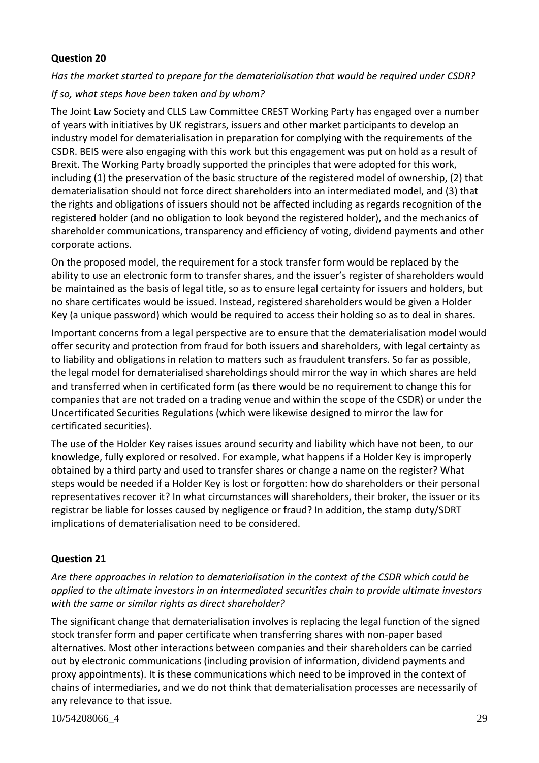## **Question 20**

## *Has the market started to prepare for the dematerialisation that would be required under CSDR?*

*If so, what steps have been taken and by whom?*

The Joint Law Society and CLLS Law Committee CREST Working Party has engaged over a number of years with initiatives by UK registrars, issuers and other market participants to develop an industry model for dematerialisation in preparation for complying with the requirements of the CSDR. BEIS were also engaging with this work but this engagement was put on hold as a result of Brexit. The Working Party broadly supported the principles that were adopted for this work, including (1) the preservation of the basic structure of the registered model of ownership, (2) that dematerialisation should not force direct shareholders into an intermediated model, and (3) that the rights and obligations of issuers should not be affected including as regards recognition of the registered holder (and no obligation to look beyond the registered holder), and the mechanics of shareholder communications, transparency and efficiency of voting, dividend payments and other corporate actions.

On the proposed model, the requirement for a stock transfer form would be replaced by the ability to use an electronic form to transfer shares, and the issuer's register of shareholders would be maintained as the basis of legal title, so as to ensure legal certainty for issuers and holders, but no share certificates would be issued. Instead, registered shareholders would be given a Holder Key (a unique password) which would be required to access their holding so as to deal in shares.

Important concerns from a legal perspective are to ensure that the dematerialisation model would offer security and protection from fraud for both issuers and shareholders, with legal certainty as to liability and obligations in relation to matters such as fraudulent transfers. So far as possible, the legal model for dematerialised shareholdings should mirror the way in which shares are held and transferred when in certificated form (as there would be no requirement to change this for companies that are not traded on a trading venue and within the scope of the CSDR) or under the Uncertificated Securities Regulations (which were likewise designed to mirror the law for certificated securities).

The use of the Holder Key raises issues around security and liability which have not been, to our knowledge, fully explored or resolved. For example, what happens if a Holder Key is improperly obtained by a third party and used to transfer shares or change a name on the register? What steps would be needed if a Holder Key is lost or forgotten: how do shareholders or their personal representatives recover it? In what circumstances will shareholders, their broker, the issuer or its registrar be liable for losses caused by negligence or fraud? In addition, the stamp duty/SDRT implications of dematerialisation need to be considered.

## **Question 21**

*Are there approaches in relation to dematerialisation in the context of the CSDR which could be applied to the ultimate investors in an intermediated securities chain to provide ultimate investors with the same or similar rights as direct shareholder?*

The significant change that dematerialisation involves is replacing the legal function of the signed stock transfer form and paper certificate when transferring shares with non-paper based alternatives. Most other interactions between companies and their shareholders can be carried out by electronic communications (including provision of information, dividend payments and proxy appointments). It is these communications which need to be improved in the context of chains of intermediaries, and we do not think that dematerialisation processes are necessarily of any relevance to that issue.

10/54208066\_4 29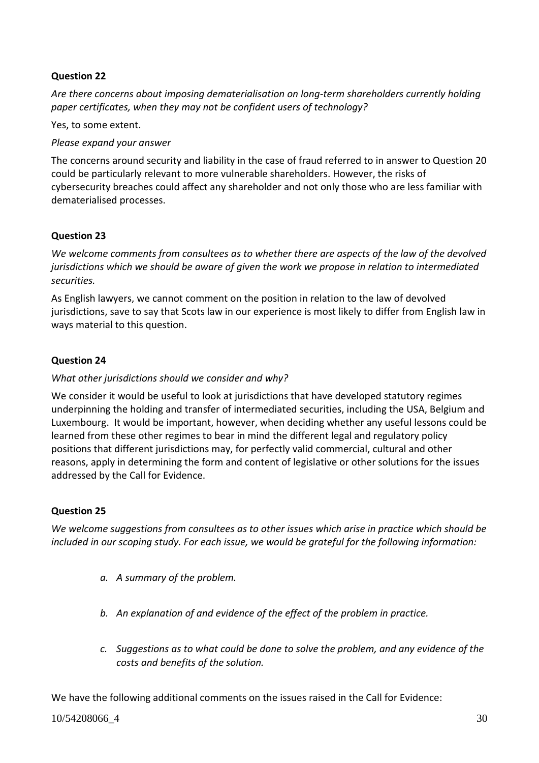## **Question 22**

*Are there concerns about imposing dematerialisation on long-term shareholders currently holding paper certificates, when they may not be confident users of technology?*

Yes, to some extent.

#### *Please expand your answer*

The concerns around security and liability in the case of fraud referred to in answer to Question 20 could be particularly relevant to more vulnerable shareholders. However, the risks of cybersecurity breaches could affect any shareholder and not only those who are less familiar with dematerialised processes.

## **Question 23**

*We welcome comments from consultees as to whether there are aspects of the law of the devolved jurisdictions which we should be aware of given the work we propose in relation to intermediated securities.*

As English lawyers, we cannot comment on the position in relation to the law of devolved jurisdictions, save to say that Scots law in our experience is most likely to differ from English law in ways material to this question.

## **Question 24**

#### *What other jurisdictions should we consider and why?*

We consider it would be useful to look at jurisdictions that have developed statutory regimes underpinning the holding and transfer of intermediated securities, including the USA, Belgium and Luxembourg. It would be important, however, when deciding whether any useful lessons could be learned from these other regimes to bear in mind the different legal and regulatory policy positions that different jurisdictions may, for perfectly valid commercial, cultural and other reasons, apply in determining the form and content of legislative or other solutions for the issues addressed by the Call for Evidence.

#### **Question 25**

*We welcome suggestions from consultees as to other issues which arise in practice which should be included in our scoping study. For each issue, we would be grateful for the following information:*

- *a. A summary of the problem.*
- *b. An explanation of and evidence of the effect of the problem in practice.*
- *c. Suggestions as to what could be done to solve the problem, and any evidence of the costs and benefits of the solution.*

We have the following additional comments on the issues raised in the Call for Evidence: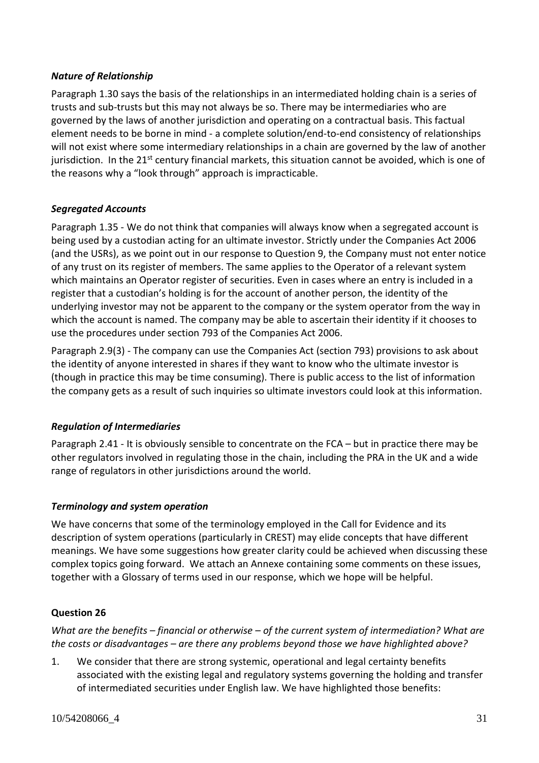## *Nature of Relationship*

Paragraph 1.30 says the basis of the relationships in an intermediated holding chain is a series of trusts and sub-trusts but this may not always be so. There may be intermediaries who are governed by the laws of another jurisdiction and operating on a contractual basis. This factual element needs to be borne in mind - a complete solution/end-to-end consistency of relationships will not exist where some intermediary relationships in a chain are governed by the law of another jurisdiction. In the  $21^{st}$  century financial markets, this situation cannot be avoided, which is one of the reasons why a "look through" approach is impracticable.

## *Segregated Accounts*

Paragraph 1.35 - We do not think that companies will always know when a segregated account is being used by a custodian acting for an ultimate investor. Strictly under the Companies Act 2006 (and the USRs), as we point out in our response to Question 9, the Company must not enter notice of any trust on its register of members. The same applies to the Operator of a relevant system which maintains an Operator register of securities. Even in cases where an entry is included in a register that a custodian's holding is for the account of another person, the identity of the underlying investor may not be apparent to the company or the system operator from the way in which the account is named. The company may be able to ascertain their identity if it chooses to use the procedures under section 793 of the Companies Act 2006.

Paragraph 2.9(3) - The company can use the Companies Act (section 793) provisions to ask about the identity of anyone interested in shares if they want to know who the ultimate investor is (though in practice this may be time consuming). There is public access to the list of information the company gets as a result of such inquiries so ultimate investors could look at this information.

## *Regulation of Intermediaries*

Paragraph 2.41 - It is obviously sensible to concentrate on the FCA – but in practice there may be other regulators involved in regulating those in the chain, including the PRA in the UK and a wide range of regulators in other jurisdictions around the world.

## *Terminology and system operation*

We have concerns that some of the terminology employed in the Call for Evidence and its description of system operations (particularly in CREST) may elide concepts that have different meanings. We have some suggestions how greater clarity could be achieved when discussing these complex topics going forward. We attach an Annexe containing some comments on these issues, together with a Glossary of terms used in our response, which we hope will be helpful.

## **Question 26**

*What are the benefits – financial or otherwise – of the current system of intermediation? What are the costs or disadvantages – are there any problems beyond those we have highlighted above?*

1. We consider that there are strong systemic, operational and legal certainty benefits associated with the existing legal and regulatory systems governing the holding and transfer of intermediated securities under English law. We have highlighted those benefits: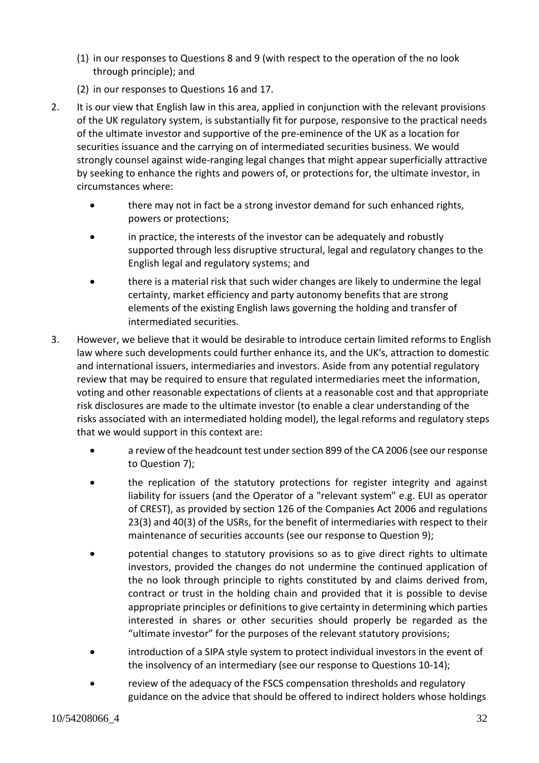- (1) in our responses to Questions 8 and 9 (with respect to the operation of the no look through principle); and
- (2) in our responses to Questions 16 and 17.
- 2. It is our view that English law in this area, applied in conjunction with the relevant provisions of the UK regulatory system, is substantially fit for purpose, responsive to the practical needs of the ultimate investor and supportive of the pre-eminence of the UK as a location for securities issuance and the carrying on of intermediated securities business. We would strongly counsel against wide-ranging legal changes that might appear superficially attractive by seeking to enhance the rights and powers of, or protections for, the ultimate investor, in circumstances where:
	- there may not in fact be a strong investor demand for such enhanced rights, powers or protections;
	- in practice, the interests of the investor can be adequately and robustly supported through less disruptive structural, legal and regulatory changes to the English legal and regulatory systems; and
	- there is a material risk that such wider changes are likely to undermine the legal certainty, market efficiency and party autonomy benefits that are strong elements of the existing English laws governing the holding and transfer of intermediated securities.
- 3. However, we believe that it would be desirable to introduce certain limited reforms to English law where such developments could further enhance its, and the UK's, attraction to domestic and international issuers, intermediaries and investors. Aside from any potential regulatory review that may be required to ensure that regulated intermediaries meet the information, voting and other reasonable expectations of clients at a reasonable cost and that appropriate risk disclosures are made to the ultimate investor (to enable a clear understanding of the risks associated with an intermediated holding model), the legal reforms and regulatory steps that we would support in this context are:
	- a review of the headcount test under section 899 of the CA 2006 (see our response to Question 7);
	- the replication of the statutory protections for register integrity and against liability for issuers (and the Operator of a "relevant system" e.g. EUI as operator of CREST), as provided by section 126 of the Companies Act 2006 and regulations 23(3) and 40(3) of the USRs, for the benefit of intermediaries with respect to their maintenance of securities accounts (see our response to Question 9);
	- potential changes to statutory provisions so as to give direct rights to ultimate investors, provided the changes do not undermine the continued application of the no look through principle to rights constituted by and claims derived from, contract or trust in the holding chain and provided that it is possible to devise appropriate principles or definitions to give certainty in determining which parties interested in shares or other securities should properly be regarded as the "ultimate investor" for the purposes of the relevant statutory provisions;
	- introduction of a SIPA style system to protect individual investors in the event of the insolvency of an intermediary (see our response to Questions 10-14);
	- review of the adequacy of the FSCS compensation thresholds and regulatory guidance on the advice that should be offered to indirect holders whose holdings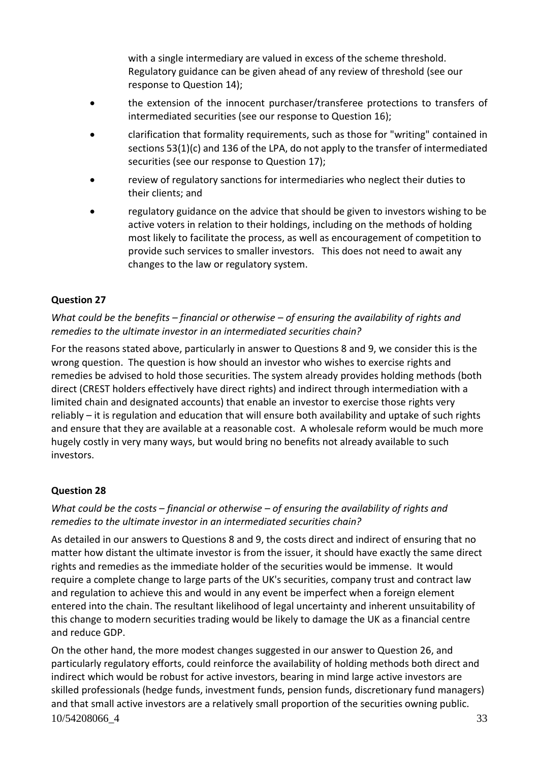with a single intermediary are valued in excess of the scheme threshold. Regulatory guidance can be given ahead of any review of threshold (see our response to Question 14);

- the extension of the innocent purchaser/transferee protections to transfers of intermediated securities (see our response to Question 16);
- clarification that formality requirements, such as those for "writing" contained in sections 53(1)(c) and 136 of the LPA, do not apply to the transfer of intermediated securities (see our response to Question 17);
- review of regulatory sanctions for intermediaries who neglect their duties to their clients; and
- regulatory guidance on the advice that should be given to investors wishing to be active voters in relation to their holdings, including on the methods of holding most likely to facilitate the process, as well as encouragement of competition to provide such services to smaller investors. This does not need to await any changes to the law or regulatory system.

## **Question 27**

## *What could be the benefits – financial or otherwise – of ensuring the availability of rights and remedies to the ultimate investor in an intermediated securities chain?*

For the reasons stated above, particularly in answer to Questions 8 and 9, we consider this is the wrong question. The question is how should an investor who wishes to exercise rights and remedies be advised to hold those securities. The system already provides holding methods (both direct (CREST holders effectively have direct rights) and indirect through intermediation with a limited chain and designated accounts) that enable an investor to exercise those rights very reliably – it is regulation and education that will ensure both availability and uptake of such rights and ensure that they are available at a reasonable cost. A wholesale reform would be much more hugely costly in very many ways, but would bring no benefits not already available to such investors.

## **Question 28**

## *What could be the costs – financial or otherwise – of ensuring the availability of rights and remedies to the ultimate investor in an intermediated securities chain?*

As detailed in our answers to Questions 8 and 9, the costs direct and indirect of ensuring that no matter how distant the ultimate investor is from the issuer, it should have exactly the same direct rights and remedies as the immediate holder of the securities would be immense. It would require a complete change to large parts of the UK's securities, company trust and contract law and regulation to achieve this and would in any event be imperfect when a foreign element entered into the chain. The resultant likelihood of legal uncertainty and inherent unsuitability of this change to modern securities trading would be likely to damage the UK as a financial centre and reduce GDP.

10/54208066\_4 33 On the other hand, the more modest changes suggested in our answer to Question 26, and particularly regulatory efforts, could reinforce the availability of holding methods both direct and indirect which would be robust for active investors, bearing in mind large active investors are skilled professionals (hedge funds, investment funds, pension funds, discretionary fund managers) and that small active investors are a relatively small proportion of the securities owning public.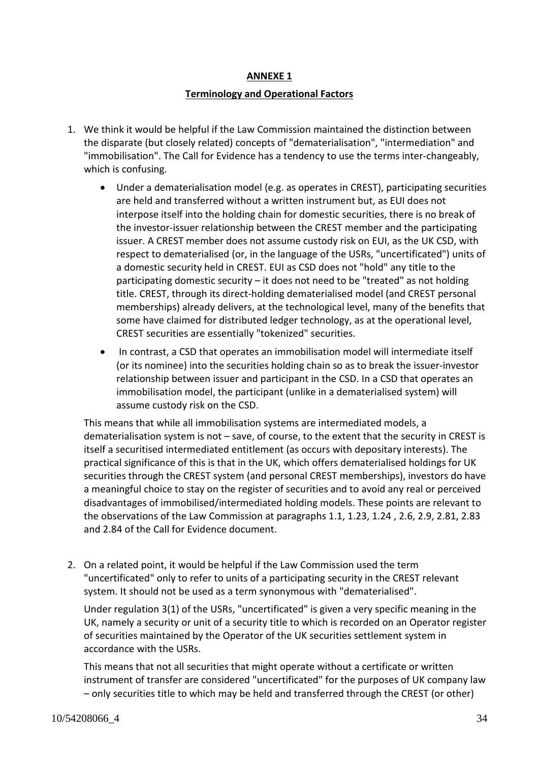#### **ANNEXE 1**

#### **Terminology and Operational Factors**

- 1. We think it would be helpful if the Law Commission maintained the distinction between the disparate (but closely related) concepts of "dematerialisation", "intermediation" and "immobilisation". The Call for Evidence has a tendency to use the terms inter-changeably, which is confusing.
	- Under a dematerialisation model (e.g. as operates in CREST), participating securities are held and transferred without a written instrument but, as EUI does not interpose itself into the holding chain for domestic securities, there is no break of the investor-issuer relationship between the CREST member and the participating issuer. A CREST member does not assume custody risk on EUI, as the UK CSD, with respect to dematerialised (or, in the language of the USRs, "uncertificated") units of a domestic security held in CREST. EUI as CSD does not "hold" any title to the participating domestic security – it does not need to be "treated" as not holding title. CREST, through its direct-holding dematerialised model (and CREST personal memberships) already delivers, at the technological level, many of the benefits that some have claimed for distributed ledger technology, as at the operational level, CREST securities are essentially "tokenized" securities.
	- In contrast, a CSD that operates an immobilisation model will intermediate itself (or its nominee) into the securities holding chain so as to break the issuer-investor relationship between issuer and participant in the CSD. In a CSD that operates an immobilisation model, the participant (unlike in a dematerialised system) will assume custody risk on the CSD.

This means that while all immobilisation systems are intermediated models, a dematerialisation system is not – save, of course, to the extent that the security in CREST is itself a securitised intermediated entitlement (as occurs with depositary interests). The practical significance of this is that in the UK, which offers dematerialised holdings for UK securities through the CREST system (and personal CREST memberships), investors do have a meaningful choice to stay on the register of securities and to avoid any real or perceived disadvantages of immobilised/intermediated holding models. These points are relevant to the observations of the Law Commission at paragraphs 1.1, 1.23, 1.24 , 2.6, 2.9, 2.81, 2.83 and 2.84 of the Call for Evidence document.

2. On a related point, it would be helpful if the Law Commission used the term "uncertificated" only to refer to units of a participating security in the CREST relevant system. It should not be used as a term synonymous with "dematerialised".

Under regulation 3(1) of the USRs, "uncertificated" is given a very specific meaning in the UK, namely a security or unit of a security title to which is recorded on an Operator register of securities maintained by the Operator of the UK securities settlement system in accordance with the USRs.

This means that not all securities that might operate without a certificate or written instrument of transfer are considered "uncertificated" for the purposes of UK company law – only securities title to which may be held and transferred through the CREST (or other)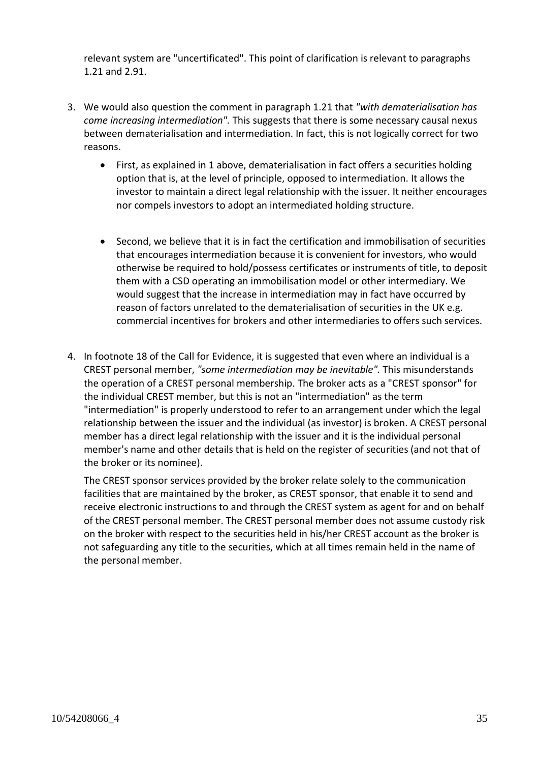relevant system are "uncertificated". This point of clarification is relevant to paragraphs 1.21 and 2.91.

- 3. We would also question the comment in paragraph 1.21 that *"with dematerialisation has come increasing intermediation".* This suggests that there is some necessary causal nexus between dematerialisation and intermediation. In fact, this is not logically correct for two reasons.
	- First, as explained in 1 above, dematerialisation in fact offers a securities holding option that is, at the level of principle, opposed to intermediation. It allows the investor to maintain a direct legal relationship with the issuer. It neither encourages nor compels investors to adopt an intermediated holding structure.
	- Second, we believe that it is in fact the certification and immobilisation of securities that encourages intermediation because it is convenient for investors, who would otherwise be required to hold/possess certificates or instruments of title, to deposit them with a CSD operating an immobilisation model or other intermediary. We would suggest that the increase in intermediation may in fact have occurred by reason of factors unrelated to the dematerialisation of securities in the UK e.g. commercial incentives for brokers and other intermediaries to offers such services.
- 4. In footnote 18 of the Call for Evidence, it is suggested that even where an individual is a CREST personal member, *"some intermediation may be inevitable".* This misunderstands the operation of a CREST personal membership. The broker acts as a "CREST sponsor" for the individual CREST member, but this is not an "intermediation" as the term "intermediation" is properly understood to refer to an arrangement under which the legal relationship between the issuer and the individual (as investor) is broken. A CREST personal member has a direct legal relationship with the issuer and it is the individual personal member's name and other details that is held on the register of securities (and not that of the broker or its nominee).

The CREST sponsor services provided by the broker relate solely to the communication facilities that are maintained by the broker, as CREST sponsor, that enable it to send and receive electronic instructions to and through the CREST system as agent for and on behalf of the CREST personal member. The CREST personal member does not assume custody risk on the broker with respect to the securities held in his/her CREST account as the broker is not safeguarding any title to the securities, which at all times remain held in the name of the personal member.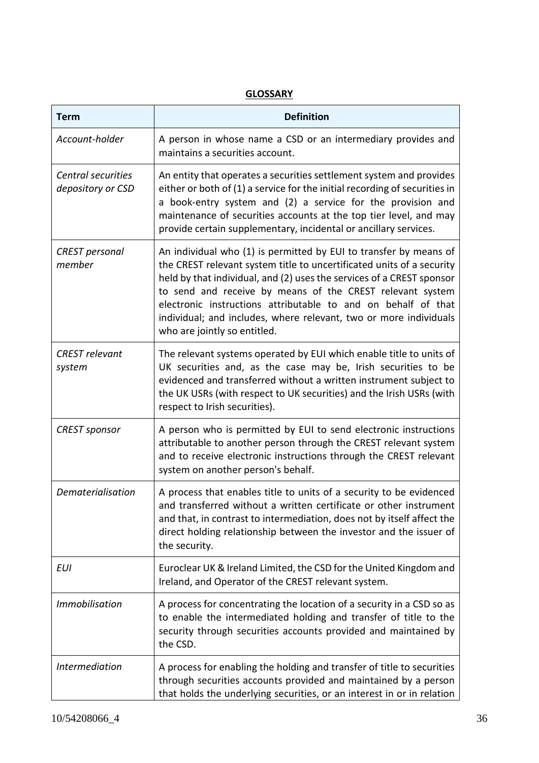| <b>Term</b>                             | <b>Definition</b>                                                                                                                                                                                                                                                                                                                                                                                                                                      |
|-----------------------------------------|--------------------------------------------------------------------------------------------------------------------------------------------------------------------------------------------------------------------------------------------------------------------------------------------------------------------------------------------------------------------------------------------------------------------------------------------------------|
| Account-holder                          | A person in whose name a CSD or an intermediary provides and<br>maintains a securities account.                                                                                                                                                                                                                                                                                                                                                        |
| Central securities<br>depository or CSD | An entity that operates a securities settlement system and provides<br>either or both of (1) a service for the initial recording of securities in<br>a book-entry system and (2) a service for the provision and<br>maintenance of securities accounts at the top tier level, and may<br>provide certain supplementary, incidental or ancillary services.                                                                                              |
| <b>CREST</b> personal<br>member         | An individual who (1) is permitted by EUI to transfer by means of<br>the CREST relevant system title to uncertificated units of a security<br>held by that individual, and (2) uses the services of a CREST sponsor<br>to send and receive by means of the CREST relevant system<br>electronic instructions attributable to and on behalf of that<br>individual; and includes, where relevant, two or more individuals<br>who are jointly so entitled. |
| <b>CREST</b> relevant<br>system         | The relevant systems operated by EUI which enable title to units of<br>UK securities and, as the case may be, Irish securities to be<br>evidenced and transferred without a written instrument subject to<br>the UK USRs (with respect to UK securities) and the Irish USRs (with<br>respect to Irish securities).                                                                                                                                     |
| <b>CREST</b> sponsor                    | A person who is permitted by EUI to send electronic instructions<br>attributable to another person through the CREST relevant system<br>and to receive electronic instructions through the CREST relevant<br>system on another person's behalf.                                                                                                                                                                                                        |
| Dematerialisation                       | A process that enables title to units of a security to be evidenced<br>and transferred without a written certificate or other instrument<br>and that, in contrast to intermediation, does not by itself affect the<br>direct holding relationship between the investor and the issuer of<br>the security.                                                                                                                                              |
| <b>EUI</b>                              | Euroclear UK & Ireland Limited, the CSD for the United Kingdom and<br>Ireland, and Operator of the CREST relevant system.                                                                                                                                                                                                                                                                                                                              |
| <b>Immobilisation</b>                   | A process for concentrating the location of a security in a CSD so as<br>to enable the intermediated holding and transfer of title to the<br>security through securities accounts provided and maintained by<br>the CSD.                                                                                                                                                                                                                               |
| <b>Intermediation</b>                   | A process for enabling the holding and transfer of title to securities<br>through securities accounts provided and maintained by a person<br>that holds the underlying securities, or an interest in or in relation                                                                                                                                                                                                                                    |

## **GLOSSARY**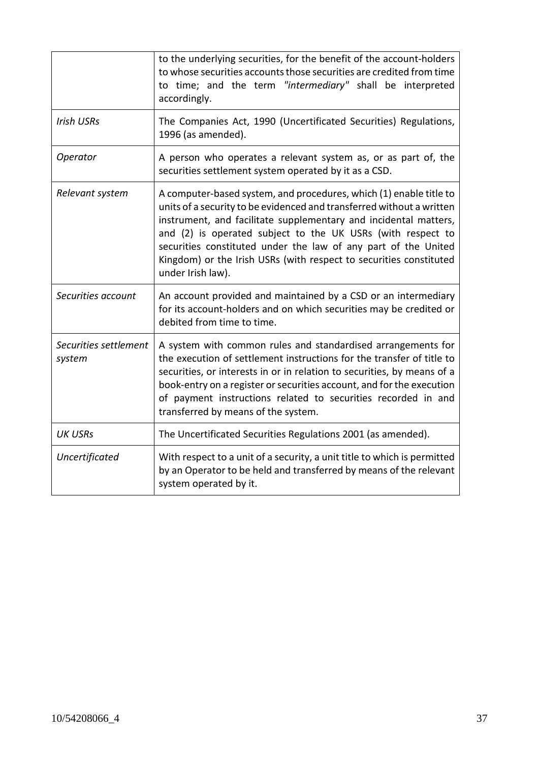|                                 | to the underlying securities, for the benefit of the account-holders<br>to whose securities accounts those securities are credited from time<br>to time; and the term "intermediary" shall be interpreted<br>accordingly.                                                                                                                                                                                                                   |
|---------------------------------|---------------------------------------------------------------------------------------------------------------------------------------------------------------------------------------------------------------------------------------------------------------------------------------------------------------------------------------------------------------------------------------------------------------------------------------------|
| <b>Irish USRs</b>               | The Companies Act, 1990 (Uncertificated Securities) Regulations,<br>1996 (as amended).                                                                                                                                                                                                                                                                                                                                                      |
| Operator                        | A person who operates a relevant system as, or as part of, the<br>securities settlement system operated by it as a CSD.                                                                                                                                                                                                                                                                                                                     |
| Relevant system                 | A computer-based system, and procedures, which (1) enable title to<br>units of a security to be evidenced and transferred without a written<br>instrument, and facilitate supplementary and incidental matters,<br>and (2) is operated subject to the UK USRs (with respect to<br>securities constituted under the law of any part of the United<br>Kingdom) or the Irish USRs (with respect to securities constituted<br>under Irish law). |
| Securities account              | An account provided and maintained by a CSD or an intermediary<br>for its account-holders and on which securities may be credited or<br>debited from time to time.                                                                                                                                                                                                                                                                          |
| Securities settlement<br>system | A system with common rules and standardised arrangements for<br>the execution of settlement instructions for the transfer of title to<br>securities, or interests in or in relation to securities, by means of a<br>book-entry on a register or securities account, and for the execution<br>of payment instructions related to securities recorded in and<br>transferred by means of the system.                                           |
| <b>UK USRs</b>                  | The Uncertificated Securities Regulations 2001 (as amended).                                                                                                                                                                                                                                                                                                                                                                                |
| Uncertificated                  | With respect to a unit of a security, a unit title to which is permitted<br>by an Operator to be held and transferred by means of the relevant<br>system operated by it.                                                                                                                                                                                                                                                                    |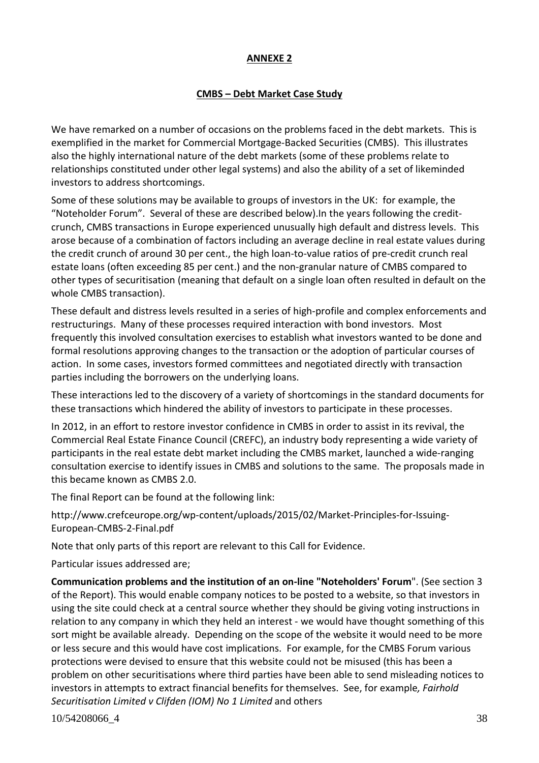#### **ANNEXE 2**

## **CMBS – Debt Market Case Study**

We have remarked on a number of occasions on the problems faced in the debt markets. This is exemplified in the market for Commercial Mortgage-Backed Securities (CMBS). This illustrates also the highly international nature of the debt markets (some of these problems relate to relationships constituted under other legal systems) and also the ability of a set of likeminded investors to address shortcomings.

Some of these solutions may be available to groups of investors in the UK: for example, the "Noteholder Forum". Several of these are described below).In the years following the creditcrunch, CMBS transactions in Europe experienced unusually high default and distress levels. This arose because of a combination of factors including an average decline in real estate values during the credit crunch of around 30 per cent., the high loan-to-value ratios of pre-credit crunch real estate loans (often exceeding 85 per cent.) and the non-granular nature of CMBS compared to other types of securitisation (meaning that default on a single loan often resulted in default on the whole CMBS transaction).

These default and distress levels resulted in a series of high-profile and complex enforcements and restructurings. Many of these processes required interaction with bond investors. Most frequently this involved consultation exercises to establish what investors wanted to be done and formal resolutions approving changes to the transaction or the adoption of particular courses of action. In some cases, investors formed committees and negotiated directly with transaction parties including the borrowers on the underlying loans.

These interactions led to the discovery of a variety of shortcomings in the standard documents for these transactions which hindered the ability of investors to participate in these processes.

In 2012, in an effort to restore investor confidence in CMBS in order to assist in its revival, the Commercial Real Estate Finance Council (CREFC), an industry body representing a wide variety of participants in the real estate debt market including the CMBS market, launched a wide-ranging consultation exercise to identify issues in CMBS and solutions to the same. The proposals made in this became known as CMBS 2.0.

The final Report can be found at the following link:

http://www.crefceurope.org/wp-content/uploads/2015/02/Market-Principles-for-Issuing-European-CMBS-2-Final.pdf

Note that only parts of this report are relevant to this Call for Evidence.

Particular issues addressed are;

**Communication problems and the institution of an on-line "Noteholders' Forum**". (See section 3 of the Report). This would enable company notices to be posted to a website, so that investors in using the site could check at a central source whether they should be giving voting instructions in relation to any company in which they held an interest - we would have thought something of this sort might be available already. Depending on the scope of the website it would need to be more or less secure and this would have cost implications. For example, for the CMBS Forum various protections were devised to ensure that this website could not be misused (this has been a problem on other securitisations where third parties have been able to send misleading notices to investors in attempts to extract financial benefits for themselves. See, for example*, Fairhold Securitisation Limited v Clifden (IOM) No 1 Limited* and others

10/54208066\_4 38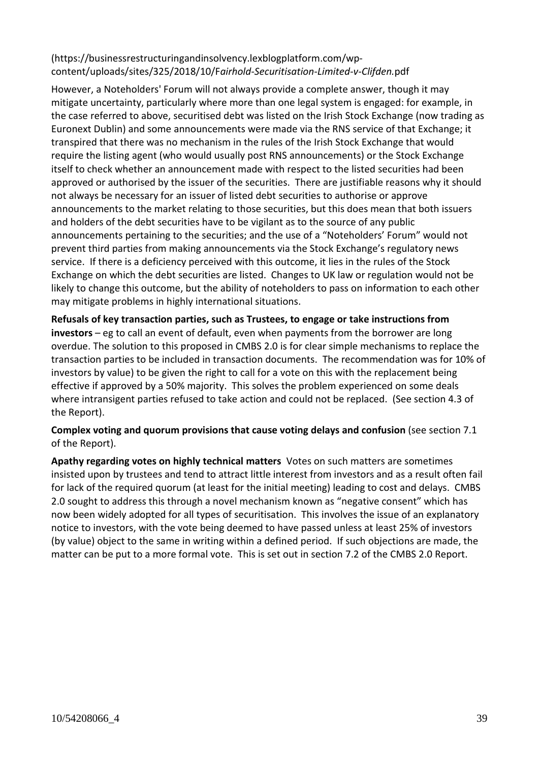## [\(https://businessrestructuringandinsolvency.lexblogplatform.com/wp](https://businessrestructuringandinsolvency.lexblogplatform.com/wp-content/uploads/sites/325/2018/10/Fairhold-Securitisation-Limited-v-Clifden.pdf)content/uploads/sites/325/2018/10/F*[airhold-Securitisation-Limited-v-Clifden.](https://businessrestructuringandinsolvency.lexblogplatform.com/wp-content/uploads/sites/325/2018/10/Fairhold-Securitisation-Limited-v-Clifden.pdf)*pdf

However, a Noteholders' Forum will not always provide a complete answer, though it may mitigate uncertainty, particularly where more than one legal system is engaged: for example, in the case referred to above, securitised debt was listed on the Irish Stock Exchange (now trading as Euronext Dublin) and some announcements were made via the RNS service of that Exchange; it transpired that there was no mechanism in the rules of the Irish Stock Exchange that would require the listing agent (who would usually post RNS announcements) or the Stock Exchange itself to check whether an announcement made with respect to the listed securities had been approved or authorised by the issuer of the securities. There are justifiable reasons why it should not always be necessary for an issuer of listed debt securities to authorise or approve announcements to the market relating to those securities, but this does mean that both issuers and holders of the debt securities have to be vigilant as to the source of any public announcements pertaining to the securities; and the use of a "Noteholders' Forum" would not prevent third parties from making announcements via the Stock Exchange's regulatory news service. If there is a deficiency perceived with this outcome, it lies in the rules of the Stock Exchange on which the debt securities are listed. Changes to UK law or regulation would not be likely to change this outcome, but the ability of noteholders to pass on information to each other may mitigate problems in highly international situations.

**Refusals of key transaction parties, such as Trustees, to engage or take instructions from investors** – eg to call an event of default, even when payments from the borrower are long overdue. The solution to this proposed in CMBS 2.0 is for clear simple mechanisms to replace the transaction parties to be included in transaction documents. The recommendation was for 10% of investors by value) to be given the right to call for a vote on this with the replacement being effective if approved by a 50% majority. This solves the problem experienced on some deals where intransigent parties refused to take action and could not be replaced. (See section 4.3 of the Report).

**Complex voting and quorum provisions that cause voting delays and confusion** (see section 7.1 of the Report).

**Apathy regarding votes on highly technical matters** Votes on such matters are sometimes insisted upon by trustees and tend to attract little interest from investors and as a result often fail for lack of the required quorum (at least for the initial meeting) leading to cost and delays. CMBS 2.0 sought to address this through a novel mechanism known as "negative consent" which has now been widely adopted for all types of securitisation. This involves the issue of an explanatory notice to investors, with the vote being deemed to have passed unless at least 25% of investors (by value) object to the same in writing within a defined period. If such objections are made, the matter can be put to a more formal vote. This is set out in section 7.2 of the CMBS 2.0 Report.